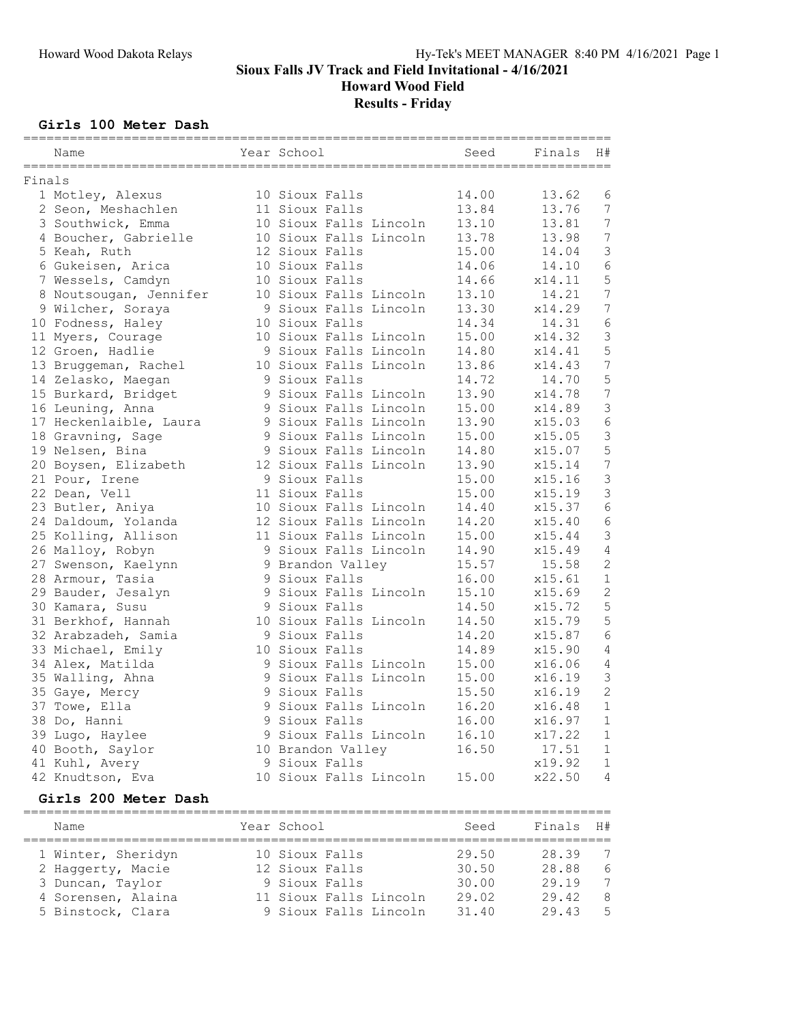Howard Wood Field

# Results - Friday

### Girls 100 Meter Dash

|        | Name                                                 | Year School                            | =====================<br>Seed | ===========<br>Finals | H#                  |
|--------|------------------------------------------------------|----------------------------------------|-------------------------------|-----------------------|---------------------|
| Finals |                                                      |                                        |                               |                       |                     |
|        | 1 Motley, Alexus                                     | 10 Sioux Falls                         | 14.00                         | 13.62                 | 6                   |
|        | 2 Seon, Meshachlen                                   | 11 Sioux Falls                         | 13.84                         | 13.76                 | 7                   |
|        | 3 Southwick, Emma                                    | 10 Sioux Falls Lincoln                 | 13.10                         | 13.81                 | $\overline{7}$      |
|        | 4 Boucher, Gabrielle                                 | 10 Sioux Falls Lincoln                 | 13.78                         | 13.98                 | $\boldsymbol{7}$    |
|        | 5 Keah, Ruth                                         | 12 Sioux Falls                         | 15.00                         | 14.04                 | $\mathsf 3$         |
|        | 6 Gukeisen, Arica                                    | 10 Sioux Falls                         | 14.06                         | 14.10                 | $6\phantom{1}6$     |
|        | 7 Wessels, Camdyn                                    | 10 Sioux Falls                         | 14.66                         | x14.11                | $\mathsf S$         |
|        | 8 Noutsougan, Jennifer                               | 10 Sioux Falls Lincoln                 | 13.10                         | 14.21                 | $\overline{7}$      |
|        | 9 Wilcher, Soraya                                    | 9 Sioux Falls Lincoln                  | 13.30                         | x14.29                | $\overline{7}$      |
|        | 10 Fodness, Haley                                    | 10 Sioux Falls                         | 14.34                         | 14.31                 | $\epsilon$          |
|        | 11 Myers, Courage                                    | 10 Sioux Falls Lincoln                 | 15.00                         | x14.32                | $\mathsf 3$         |
|        | 12 Groen, Hadlie                                     | 9 Sioux Falls Lincoln                  | 14.80                         | x14.41                | 5                   |
|        | 13 Bruggeman, Rachel                                 | 10 Sioux Falls Lincoln                 | 13.86                         | x14.43                | $\overline{7}$      |
|        | 14 Zelasko, Maegan<br>15 Burkard, Bridget            | 9 Sioux Falls<br>9 Sioux Falls Lincoln | 14.72<br>13.90                | 14.70<br>x14.78       | 5<br>$\overline{7}$ |
|        | 16 Leuning, Anna                                     | 9 Sioux Falls Lincoln                  | 15.00                         | x14.89                | 3                   |
|        | 17 Heckenlaible, Laura                               | 9 Sioux Falls Lincoln                  | 13.90                         | x15.03                | $\epsilon$          |
|        | 18 Gravning, Sage                                    | 9 Sioux Falls Lincoln                  | 15.00                         | x15.05                | $\mathfrak{Z}$      |
|        | 19 Nelsen, Bina                                      | 9 Sioux Falls Lincoln                  | 14.80                         | x15.07                | 5                   |
|        | 20 Boysen, Elizabeth                                 | 12 Sioux Falls Lincoln                 | 13.90                         | x15.14                | $\overline{7}$      |
|        | 21 Pour, Irene                                       | 9 Sioux Falls                          | 15.00                         | x15.16                | $\mathfrak{Z}$      |
|        | 22 Dean, Vell                                        | 11 Sioux Falls                         | 15.00                         | x15.19                | $\mathsf 3$         |
|        | 23 Butler, Aniya                                     | 10 Sioux Falls Lincoln                 | 14.40                         | x15.37                | $\epsilon$          |
|        | 24 Daldoum, Yolanda                                  | 12 Sioux Falls Lincoln                 | 14.20                         | x15.40                | $6\phantom{1}6$     |
|        | 25 Kolling, Allison                                  | 11 Sioux Falls Lincoln                 | 15.00                         | x15.44                | $\mathfrak{Z}$      |
|        | 26 Malloy, Robyn                                     | 9 Sioux Falls Lincoln                  | 14.90                         | x15.49                | 4                   |
|        | 27 Swenson, Kaelynn                                  | 9 Brandon Valley                       | 15.57                         | 15.58                 | $\sqrt{2}$          |
|        | 28 Armour, Tasia                                     | 9 Sioux Falls                          | 16.00                         | x15.61                | $1\,$               |
|        | 29 Bauder, Jesalyn                                   | 9 Sioux Falls Lincoln                  | 15.10                         | x15.69                | $\overline{c}$      |
|        | 30 Kamara, Susu                                      | 9 Sioux Falls                          | 14.50                         | x15.72                | 5                   |
|        | 31 Berkhof, Hannah                                   | 10 Sioux Falls Lincoln                 | 14.50                         | x15.79                | 5                   |
|        | 32 Arabzadeh, Samia                                  | 9 Sioux Falls                          | 14.20                         | x15.87                | $\epsilon$          |
|        | 33 Michael, Emily                                    | 10 Sioux Falls                         | 14.89                         | x15.90                | $\sqrt{4}$          |
|        | 34 Alex, Matilda                                     | 9 Sioux Falls Lincoln                  | 15.00                         | x16.06                | 4                   |
|        | 35 Walling, Ahna                                     | 9 Sioux Falls Lincoln                  | 15.00                         | x16.19                | $\mathsf 3$         |
|        | 35 Gaye, Mercy                                       | 9 Sioux Falls                          | 15.50                         | x16.19                | $\overline{c}$      |
|        | 37 Towe, Ella                                        | 9 Sioux Falls Lincoln                  | 16.20                         | x16.48                | $\mathbf 1$         |
|        | 38 Do, Hanni                                         | 9 Sioux Falls                          | 16.00                         | x16.97                | 1                   |
|        | 39 Lugo, Haylee                                      | 9 Sioux Falls Lincoln                  | 16.10                         | x17.22                | 1                   |
|        | 40 Booth, Saylor                                     | 10 Brandon Valley                      | 16.50                         | 17.51                 | 1                   |
|        | 41 Kuhl, Avery                                       | 9 Sioux Falls                          |                               | x19.92                | 1                   |
|        | 42 Knudtson, Eva                                     | 10 Sioux Falls Lincoln                 | 15.00                         | x22.50                | $\overline{4}$      |
|        | Girls 200 Meter Dash<br>============================ |                                        |                               |                       |                     |

| Name               | Year School            | Seed  | Finals H# |     |
|--------------------|------------------------|-------|-----------|-----|
| 1 Winter, Sheridyn | 10 Sioux Falls         | 29.50 | 28.39     | 7   |
| 2 Haggerty, Macie  | 12 Sioux Falls         | 30.50 | 28.88     | - 6 |
| 3 Duncan, Taylor   | 9 Sioux Falls          | 30.00 | 29.19     | 7   |
| 4 Sorensen, Alaina | 11 Sioux Falls Lincoln | 29.02 | 29.42     | -8  |
| 5 Binstock, Clara  | 9 Sioux Falls Lincoln  | 31.40 | 29.43     | - 5 |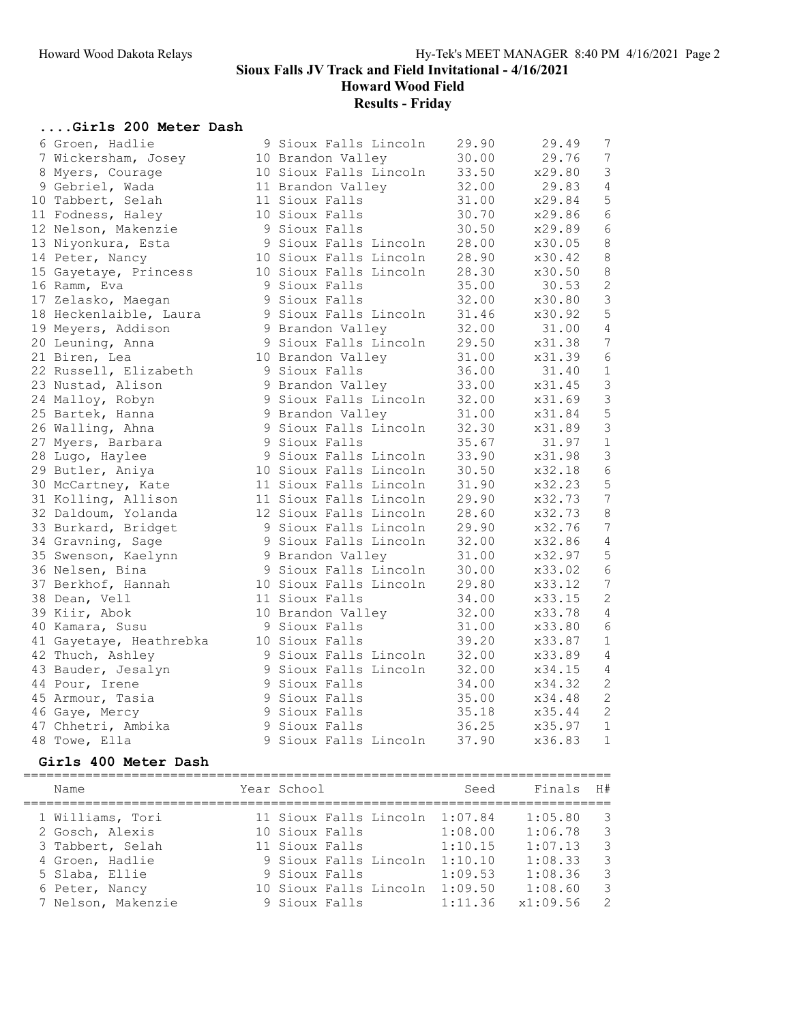Howard Wood Field

# Results - Friday

### ....Girls 200 Meter Dash

| 6 Groen, Hadlie         | 9 Sioux Falls Lincoln  | 29.90 | 29.49  | 7               |
|-------------------------|------------------------|-------|--------|-----------------|
| 7 Wickersham, Josey     | 10 Brandon Valley      | 30.00 | 29.76  | 7               |
| 8 Myers, Courage        | 10 Sioux Falls Lincoln | 33.50 | x29.80 | $\mathfrak{Z}$  |
| 9 Gebriel, Wada         | 11 Brandon Valley      | 32.00 | 29.83  | $\overline{4}$  |
| 10 Tabbert, Selah       | 11 Sioux Falls         | 31.00 | x29.84 | 5               |
| 11 Fodness, Haley       | 10 Sioux Falls         | 30.70 | x29.86 | 6               |
| 12 Nelson, Makenzie     | 9 Sioux Falls          | 30.50 | x29.89 | $\sqrt{6}$      |
| 13 Niyonkura, Esta      | 9 Sioux Falls Lincoln  | 28.00 | x30.05 | $\,8\,$         |
| 14 Peter, Nancy         | 10 Sioux Falls Lincoln | 28.90 | x30.42 | $8\,$           |
| 15 Gayetaye, Princess   | 10 Sioux Falls Lincoln | 28.30 | x30.50 | $\,8\,$         |
| 16 Ramm, Eva            | 9 Sioux Falls          | 35.00 | 30.53  | $\overline{c}$  |
| 17 Zelasko, Maegan      | 9 Sioux Falls          | 32.00 | x30.80 | $\mathfrak{Z}$  |
| 18 Heckenlaible, Laura  | 9 Sioux Falls Lincoln  | 31.46 | x30.92 | $\overline{5}$  |
| 19 Meyers, Addison      | 9 Brandon Valley       | 32.00 | 31.00  | $\overline{4}$  |
| 20 Leuning, Anna        | 9 Sioux Falls Lincoln  | 29.50 | x31.38 | $\overline{7}$  |
| 21 Biren, Lea           | 10 Brandon Valley      | 31.00 | x31.39 | $6\,$           |
| 22 Russell, Elizabeth   | 9 Sioux Falls          | 36.00 | 31.40  | $1\,$           |
| 23 Nustad, Alison       | 9 Brandon Valley       | 33.00 | x31.45 | $\mathfrak{Z}$  |
| 24 Malloy, Robyn        | 9 Sioux Falls Lincoln  | 32.00 | x31.69 | $\mathfrak{Z}$  |
| 25 Bartek, Hanna        | 9 Brandon Valley       | 31.00 | x31.84 | 5               |
| 26 Walling, Ahna        | 9 Sioux Falls Lincoln  | 32.30 | x31.89 | $\mathfrak{Z}$  |
| 27 Myers, Barbara       | 9 Sioux Falls          | 35.67 | 31.97  | $1\,$           |
| 28 Lugo, Haylee         | 9 Sioux Falls Lincoln  | 33.90 | x31.98 | $\mathfrak{Z}$  |
| 29 Butler, Aniya        | 10 Sioux Falls Lincoln | 30.50 | x32.18 | 6               |
| 30 McCartney, Kate      | 11 Sioux Falls Lincoln | 31.90 | x32.23 | 5               |
| 31 Kolling, Allison     | 11 Sioux Falls Lincoln | 29.90 | x32.73 | $\overline{7}$  |
| 32 Daldoum, Yolanda     | 12 Sioux Falls Lincoln | 28.60 | x32.73 | $\,8\,$         |
| 33 Burkard, Bridget     | 9 Sioux Falls Lincoln  | 29.90 | x32.76 | $\overline{7}$  |
| 34 Gravning, Sage       | 9 Sioux Falls Lincoln  | 32.00 | x32.86 | $\sqrt{4}$      |
| 35 Swenson, Kaelynn     | 9 Brandon Valley       | 31.00 | x32.97 | $\mathsf S$     |
| 36 Nelsen, Bina         | 9 Sioux Falls Lincoln  | 30.00 | x33.02 | $\epsilon$      |
| 37 Berkhof, Hannah      | 10 Sioux Falls Lincoln | 29.80 | x33.12 | $7\phantom{.0}$ |
| 38 Dean, Vell           | 11 Sioux Falls         | 34.00 | x33.15 | $\sqrt{2}$      |
| 39 Kiir, Abok           | 10 Brandon Valley      | 32.00 | x33.78 | $\sqrt{4}$      |
| 40 Kamara, Susu         | 9 Sioux Falls          | 31.00 | x33.80 | $\sqrt{6}$      |
| 41 Gayetaye, Heathrebka | 10 Sioux Falls         | 39.20 | x33.87 | $\,1\,$         |
| 42 Thuch, Ashley        | 9 Sioux Falls Lincoln  | 32.00 | x33.89 | $\sqrt{4}$      |
| 43 Bauder, Jesalyn      | 9 Sioux Falls Lincoln  | 32.00 | x34.15 | $\sqrt{4}$      |
| 44 Pour, Irene          | 9 Sioux Falls          | 34.00 | x34.32 | $\sqrt{2}$      |
| 45 Armour, Tasia        | 9 Sioux Falls          | 35.00 | x34.48 | $\sqrt{2}$      |
| 46 Gaye, Mercy          | 9 Sioux Falls          | 35.18 | x35.44 | $\sqrt{2}$      |
| 47 Chhetri, Ambika      | 9 Sioux Falls          | 36.25 | x35.97 | $\mathbf 1$     |
| 48 Towe, Ella           | 9 Sioux Falls Lincoln  | 37.90 | x36.83 | $\mathbf 1$     |

#### Girls 400 Meter Dash

| Name |                    | Year School    |                        | Seed    | Finals   | H#             |
|------|--------------------|----------------|------------------------|---------|----------|----------------|
|      | 1 Williams, Tori   |                | 11 Sioux Falls Lincoln | 1:07.84 | 1:05.80  | $\mathbf{3}$   |
|      | 2 Gosch, Alexis    | 10 Sioux Falls |                        | 1:08.00 | 1:06.78  | $\mathcal{B}$  |
|      | 3 Tabbert, Selah   | 11 Sioux Falls |                        | 1:10.15 | 1:07.13  | $\mathcal{B}$  |
|      | 4 Groen, Hadlie    |                | 9 Sioux Falls Lincoln  | 1:10.10 | 1:08.33  | - 3            |
|      | 5 Slaba, Ellie     | 9 Sioux Falls  |                        | 1:09.53 | 1:08.36  | -3             |
|      | 6 Peter, Nancy     |                | 10 Sioux Falls Lincoln | 1:09.50 | 1:08.60  | -3             |
|      | 7 Nelson, Makenzie | 9 Sioux Falls  |                        | 1:11.36 | x1:09.56 | $\overline{2}$ |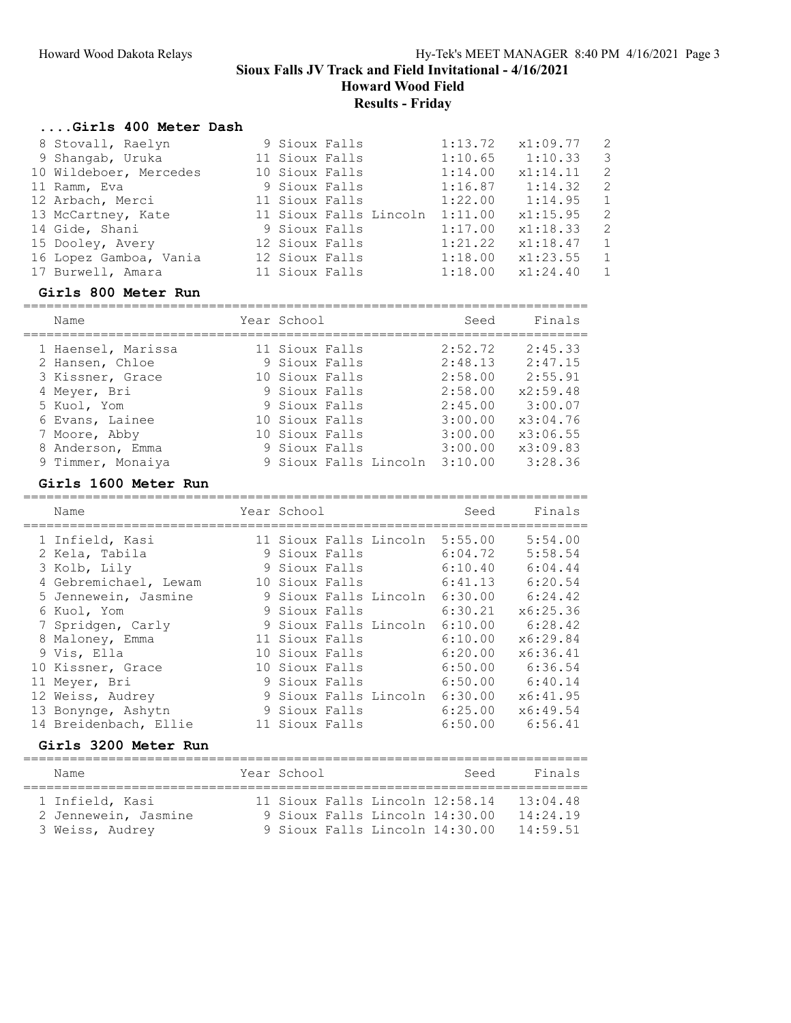Howard Wood Field

Results - Friday

#### ....Girls 400 Meter Dash

|  | 1:13.72                                                                                                                                                                               | x1:09.77 | $\overline{2}$                            |
|--|---------------------------------------------------------------------------------------------------------------------------------------------------------------------------------------|----------|-------------------------------------------|
|  | 1:10.65                                                                                                                                                                               |          | $\overline{\mathbf{3}}$                   |
|  | 1:14.00                                                                                                                                                                               | x1:14.11 | 2                                         |
|  |                                                                                                                                                                                       |          | $\overline{2}$                            |
|  | 1:22.00                                                                                                                                                                               |          | $\overline{1}$                            |
|  | 1:11.00                                                                                                                                                                               | x1:15.95 | 2                                         |
|  | 1:17.00                                                                                                                                                                               | x1:18.33 | -2                                        |
|  | 1:21.22                                                                                                                                                                               | x1:18.47 | $\overline{1}$                            |
|  | 1:18.00                                                                                                                                                                               | x1:23.55 | 1                                         |
|  | 1:18.00                                                                                                                                                                               | x1:24.40 | 1                                         |
|  | 9 Sioux Falls<br>11 Sioux Falls<br>10 Sioux Falls<br>9 Sioux Falls<br>11 Sioux Falls<br>11 Sioux Falls Lincoln<br>9 Sioux Falls<br>12 Sioux Falls<br>12 Sioux Falls<br>11 Sioux Falls |          | 1:10.33<br>$1:16.87$ $1:14.32$<br>1:14.95 |

#### Girls 800 Meter Run

========================================================================= Name Year School Seed Finals ========================================================================= 1 Haensel, Marissa 11 Sioux Falls 2:52.72 2:45.33 2 Hansen, Chloe 9 Sioux Falls 2:48.13 2:47.15 3 Kissner, Grace 10 Sioux Falls 2:58.00 2:55.91 4 Meyer, Bri 9 Sioux Falls 2:58.00 x2:59.48 5 Kuol, Yom 9 Sioux Falls 2:45.00 3:00.07 6 Evans, Lainee 10 Sioux Falls 3:00.00 x3:04.76 7 Moore, Abby 10 Sioux Falls 3:00.00 x3:06.55 8 Anderson, Emma 9 Sioux Falls 3:00.00 x3:09.83 9 Timmer, Monaiya 9 Sioux Falls Lincoln 3:10.00 3:28.36

#### Girls 1600 Meter Run

========================================================================= Name Year School Seed Finals ========================================================================= 1 Infield, Kasi 11 Sioux Falls Lincoln 5:55.00 5:54.00 2 Kela, Tabila 9 Sioux Falls 6:04.72 5:58.54 3 Kolb, Lily 9 Sioux Falls 6:10.40 6:04.44 4 Gebremichael, Lewam 10 Sioux Falls 6:41.13 6:20.54 5 Jennewein, Jasmine 9 Sioux Falls Lincoln 6:30.00 6:24.42 6 Kuol, Yom 9 Sioux Falls 6:30.21 x6:25.36 7 Spridgen, Carly 9 Sioux Falls Lincoln 6:10.00 6:28.42 8 Maloney, Emma 11 Sioux Falls 6:10.00 x6:29.84 9 Vis, Ella 10 Sioux Falls 6:20.00 x6:36.41 10 Kissner, Grace 10 Sioux Falls 6:50.00 6:36.54 11 Meyer, Bri 9 Sioux Falls 6:50.00 6:40.14 12 Weiss, Audrey 9 Sioux Falls Lincoln 6:30.00 x6:41.95 13 Bonynge, Ashytn 9 Sioux Falls 6:25.00 x6:49.54 14 Breidenbach, Ellie 11 Sioux Falls 6:50.00 6:56.41 Girls 3200 Meter Run ========================================================================= Name The Year School Seed Finals

| 1 Infield, Kasi      |  |  | 11 Sioux Falls Lincoln 12:58.14 | 13.04.48 |
|----------------------|--|--|---------------------------------|----------|
| 2 Jennewein, Jasmine |  |  | 9 Sioux Falls Lincoln 14:30.00  | 14:24.19 |
| 3 Weiss, Audrey      |  |  | 9 Sioux Falls Lincoln 14:30.00  | 14:59.51 |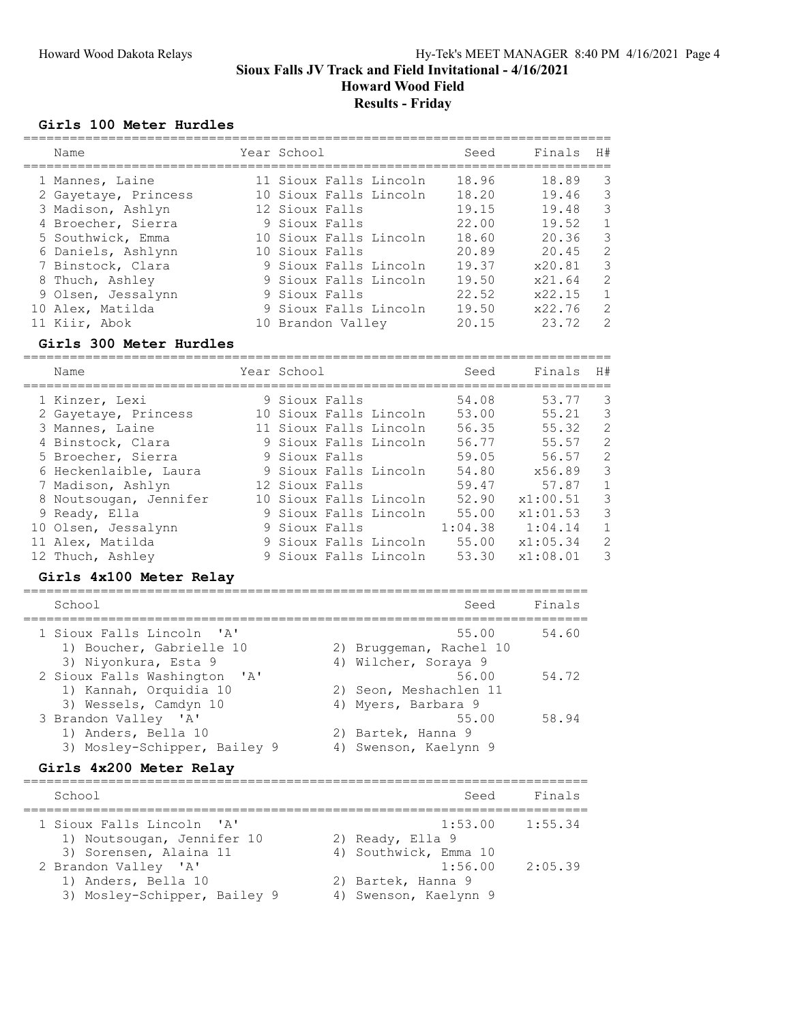Howard Wood Field

#### Results - Friday

#### Girls 100 Meter Hurdles

| Name                 | Year School            | Seed  | Finals | H#            |
|----------------------|------------------------|-------|--------|---------------|
| 1 Mannes, Laine      | 11 Sioux Falls Lincoln | 18.96 | 18.89  | 3             |
| 2 Gayetaye, Princess | 10 Sioux Falls Lincoln | 18.20 | 19.46  | 3             |
| 3 Madison, Ashlyn    | 12 Sioux Falls         | 19.15 | 19.48  | 3             |
| 4 Broecher, Sierra   | 9 Sioux Falls          | 22.00 | 19.52  | $\mathbf{1}$  |
| 5 Southwick, Emma    | 10 Sioux Falls Lincoln | 18.60 | 20.36  | 3             |
| 6 Daniels, Ashlynn   | 10 Sioux Falls         | 20.89 | 20.45  | 2             |
| 7 Binstock, Clara    | 9 Sioux Falls Lincoln  | 19.37 | x20.81 | 3             |
| 8 Thuch, Ashley      | 9 Sioux Falls Lincoln  | 19.50 | x21.64 | 2             |
| 9 Olsen, Jessalynn   | 9 Sioux Falls          | 22.52 | x22.15 | $\mathbf{1}$  |
| 10 Alex, Matilda     | 9 Sioux Falls Lincoln  | 19.50 | x22.76 | 2             |
| 11 Kiir, Abok        | 10 Brandon Valley      | 20.15 | 23.72  | $\mathcal{L}$ |

#### Girls 300 Meter Hurdles

============================================================================ Name Year School Seed Finals H# ============================================================================ 1 Kinzer, Lexi 9 Sioux Falls 54.08 53.77 3 2 Gayetaye, Princess 10 Sioux Falls Lincoln 53.00 55.21 3 3 Mannes, Laine 11 Sioux Falls Lincoln 56.35 55.32 2 4 Binstock, Clara 9 Sioux Falls Lincoln 56.77 55.57 2 5 Broecher, Sierra 9 Sioux Falls 59.05 56.57 2 6 Heckenlaible, Laura 9 Sioux Falls Lincoln 54.80 x56.89 3 7 Madison, Ashlyn 12 Sioux Falls 59.47 57.87 1 8 Noutsougan, Jennifer 10 Sioux Falls Lincoln 52.90 x1:00.51 3 9 Ready, Ella 9 Sioux Falls Lincoln 55.00 x1:01.53 3 10 Olsen, Jessalynn 9 Sioux Falls 1:04.38 1:04.14 1 11 Alex, Matilda 9 Sioux Falls Lincoln 55.00 x1:05.34 2 12 Thuch, Ashley 9 Sioux Falls Lincoln 53.30 x1:08.01 3

#### Girls 4x100 Meter Relay

| School                                                                          | Seed                                                     | Finals |
|---------------------------------------------------------------------------------|----------------------------------------------------------|--------|
| 1 Sioux Falls Lincoln 'A'<br>1) Boucher, Gabrielle 10<br>3) Niyonkura, Esta 9   | 55.00<br>2) Bruggeman, Rachel 10<br>4) Wilcher, Soraya 9 | 54.60  |
| 2 Sioux Falls Washington 'A'<br>1) Kannah, Orquidia 10<br>3) Wessels, Camdyn 10 | 56.00<br>2) Seon, Meshachlen 11<br>4) Myers, Barbara 9   | 54.72  |
| 3 Brandon Valley 'A'<br>1) Anders, Bella 10<br>3) Mosley-Schipper, Bailey 9     | 55.00<br>2) Bartek, Hanna 9<br>Swenson, Kaelynn 9        | 58.94  |

#### Girls 4x200 Meter Relay

| School                       | Seed                  | Finals  |
|------------------------------|-----------------------|---------|
| 1 Sioux Falls Lincoln 'A'    | $1:53.00$ $1:55.34$   |         |
| 1) Noutsougan, Jennifer 10   | 2) Ready, Ella 9      |         |
| 3) Sorensen, Alaina 11       | 4) Southwick, Emma 10 |         |
| 2 Brandon Valley 'A'         | 1:56.00               | 2:05.39 |
| 1) Anders, Bella 10          | 2) Bartek, Hanna 9    |         |
| 3) Mosley-Schipper, Bailey 9 | 4) Swenson, Kaelynn 9 |         |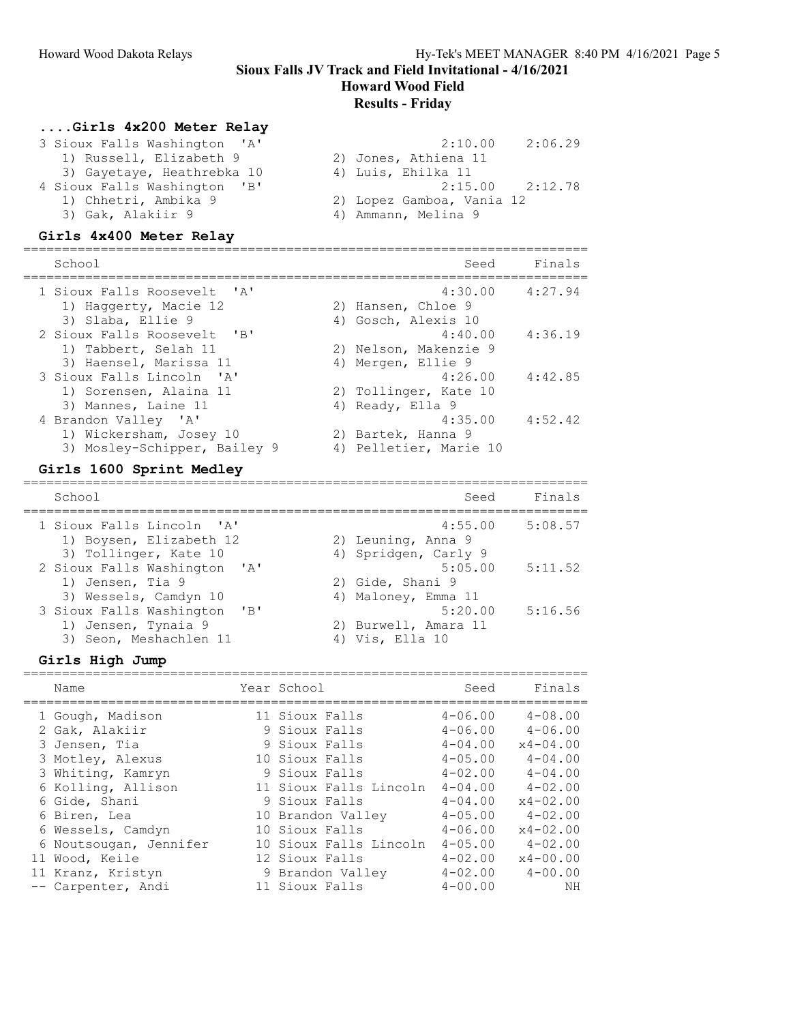Howard Wood Field

#### Results - Friday

#### ....Girls 4x200 Meter Relay

| 3 Sioux Falls Washington 'A' | 2:10.00<br>2:06.29        |
|------------------------------|---------------------------|
| 1) Russell, Elizabeth 9      | 2) Jones, Athiena 11      |
| 3) Gayetaye, Heathrebka 10   | 4) Luis, Ehilka 11        |
| 4 Sioux Falls Washington 'B' | $2:15.00$ $2:12.78$       |
| 1) Chhetri, Ambika 9         | 2) Lopez Gamboa, Vania 12 |
| 3) Gak, Alakiir 9            | 4) Ammann, Melina 9       |

#### Girls 4x400 Meter Relay

| School                                                                          |  | Seed                                                    | Finals  |
|---------------------------------------------------------------------------------|--|---------------------------------------------------------|---------|
| 1 Sioux Falls Roosevelt, 'A'<br>1) Haggerty, Macie 12<br>3) Slaba, Ellie 9      |  | 4:30.00<br>2) Hansen, Chloe 9<br>4) Gosch, Alexis 10    | 4:27.94 |
| 2 Sioux Falls Roosevelt 'B'<br>1) Tabbert, Selah 11<br>3) Haensel, Marissa 11   |  | 4:40.00<br>2) Nelson, Makenzie 9<br>4) Mergen, Ellie 9  | 4:36.19 |
| 3 Sioux Falls Lincoln 'A'<br>1) Sorensen, Alaina 11<br>3) Mannes, Laine 11      |  | 4:26.00<br>2) Tollinger, Kate 10<br>4) Ready, Ella 9    | 4:42.85 |
| 4 Brandon Valley 'A'<br>1) Wickersham, Josey 10<br>3) Mosley-Schipper, Bailey 9 |  | 4:35.00<br>2) Bartek, Hanna 9<br>4) Pelletier, Marie 10 | 4:52.42 |

#### Girls 1600 Sprint Medley

=========================================================================

| School                                                                        | Seed                                                  | Finals  |
|-------------------------------------------------------------------------------|-------------------------------------------------------|---------|
| 1 Sioux Falls Lincoln 'A'<br>1) Boysen, Elizabeth 12<br>3) Tollinger, Kate 10 | 4:55.00<br>2) Leuning, Anna 9<br>4) Spridgen, Carly 9 | 5:08.57 |
| 2 Sioux Falls Washington 'A'<br>1) Jensen, Tia 9<br>3) Wessels, Camdyn 10     | 5:05.00<br>2) Gide, Shani 9<br>4) Maloney, Emma 11    | 5:11.52 |
| 3 Sioux Falls Washington 'B'<br>1) Jensen, Tynaia 9<br>3) Seon, Meshachlen 11 | 5:20.00<br>2) Burwell, Amara 11<br>4) Vis, Ella 10    | 5:16.56 |

#### Girls High Jump

| ATTTO TITAII AMIN      |                        |                |              |
|------------------------|------------------------|----------------|--------------|
| Name                   | Year School            | Seed           | Finals       |
| 1 Gough, Madison       | 11 Sioux Falls         | $4 - 06.00$    | $4 - 08.00$  |
| 2 Gak, Alakiir         | 9 Sioux Falls          | $4 - 06.00$    | $4 - 06.00$  |
| 3 Jensen, Tia          | 9 Sioux Falls          | $4 - 04.00$    | $x4 - 04.00$ |
| 3 Motley, Alexus       | 10 Sioux Falls         | $4 - 0.5$ , 00 | $4 - 04.00$  |
| 3 Whiting, Kamryn      | 9 Sioux Falls          | $4 - 02.00$    | $4 - 04.00$  |
| 6 Kolling, Allison     | 11 Sioux Falls Lincoln | $4 - 04.00$    | $4 - 02.00$  |
| 6 Gide, Shani          | 9 Sioux Falls          | $4 - 04.00$    | $x4 - 02.00$ |
| 6 Biren, Lea           | 10 Brandon Valley      | $4 - 05.00$    | $4 - 02.00$  |
| 6 Wessels, Camdyn      | 10 Sioux Falls         | $4 - 06.00$    | $x4 - 02.00$ |
| 6 Noutsougan, Jennifer | 10 Sioux Falls Lincoln | $4 - 0.5$ , 00 | $4 - 02.00$  |
| 11 Wood, Keile         | 12 Sioux Falls         | $4 - 02.00$    | $x4 - 00.00$ |
| 11 Kranz, Kristyn      | 9 Brandon Valley       | $4 - 02.00$    | $4 - 00.00$  |
| -- Carpenter, Andi     | 11 Sioux Falls         | $4 - 00.00$    | NΗ           |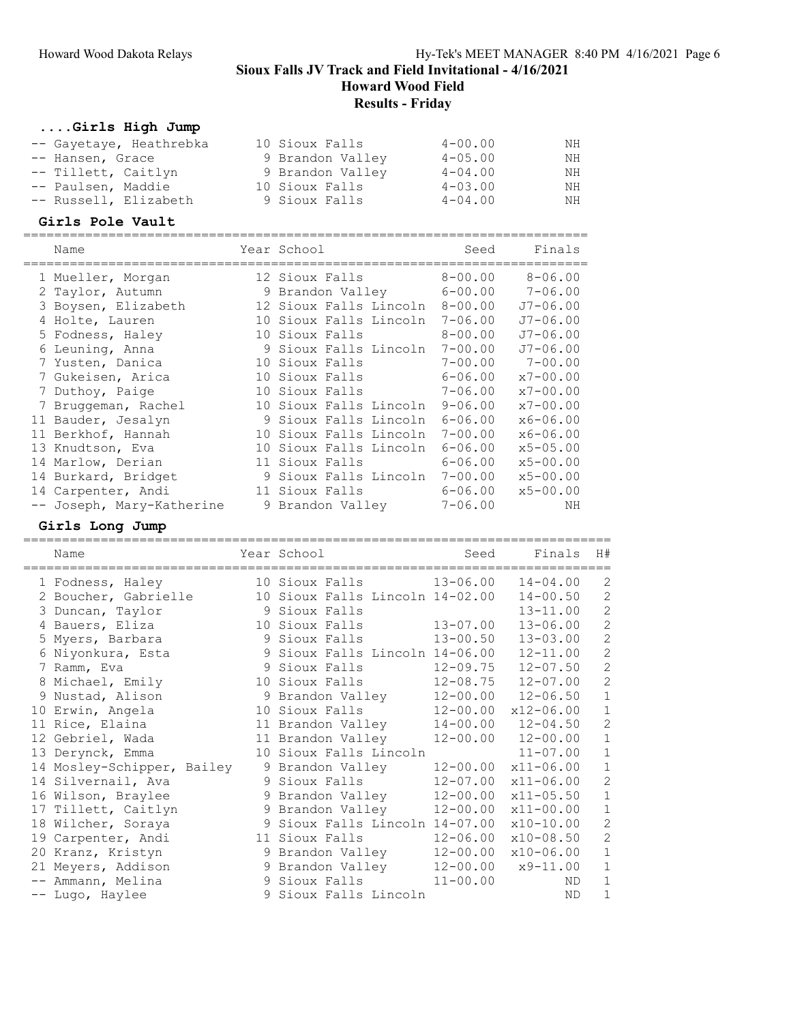# Howard Wood Field

# Results - Friday

# ....Girls High Jump

| -- Gayetaye, Heathrebka | 10 Sioux Falls   | $4 - 00.00$    | NH |
|-------------------------|------------------|----------------|----|
| -- Hansen, Grace        | 9 Brandon Valley | $4 - 0.5$ , 00 | NH |
| -- Tillett, Caitlyn     | 9 Brandon Valley | $4 - 04.00$    | NH |
| -- Paulsen, Maddie      | 10 Sioux Falls   | $4 - 03.00$    | NH |
| -- Russell, Elizabeth   | 9 Sioux Falls    | $4 - 04.00$    | NH |

### Girls Pole Vault

| Name                      | Year School            | Seed        | Finals       |
|---------------------------|------------------------|-------------|--------------|
| 1 Mueller, Morgan         | 12 Sioux Falls         | $8 - 00.00$ | $8 - 06.00$  |
| 2 Taylor, Autumn          | 9 Brandon Valley       | $6 - 00.00$ | $7 - 06.00$  |
| 3 Boysen, Elizabeth       | 12 Sioux Falls Lincoln | $8 - 00.00$ | $J7 - 06.00$ |
| 4 Holte, Lauren           | 10 Sioux Falls Lincoln | $7 - 06.00$ | $J7 - 06.00$ |
| 5 Fodness, Haley          | 10 Sioux Falls         | $8 - 00.00$ | $J7 - 06.00$ |
| 6 Leuning, Anna           | 9 Sioux Falls Lincoln  | $7 - 00.00$ | $J7 - 06.00$ |
| 7 Yusten, Danica          | 10 Sioux Falls         | $7 - 00.00$ | $7 - 00.00$  |
| 7 Gukeisen, Arica         | 10 Sioux Falls         | $6 - 06.00$ | $x7 - 00.00$ |
| 7 Duthoy, Paige           | 10 Sioux Falls         | $7 - 06.00$ | $x7 - 00.00$ |
| 7 Bruggeman, Rachel       | 10 Sioux Falls Lincoln | $9 - 06.00$ | $x7 - 00.00$ |
| 11 Bauder, Jesalyn        | 9 Sioux Falls Lincoln  | $6 - 06.00$ | $x6 - 06.00$ |
| 11 Berkhof, Hannah        | 10 Sioux Falls Lincoln | $7 - 00.00$ | $x6 - 06.00$ |
| 13 Knudtson, Eva          | 10 Sioux Falls Lincoln | $6 - 06.00$ | $x5 - 05.00$ |
| 14 Marlow, Derian         | 11 Sioux Falls         | $6 - 06.00$ | $x5 - 00.00$ |
| 14 Burkard, Bridget       | 9 Sioux Falls Lincoln  | $7 - 00.00$ | $x5 - 00.00$ |
| 14 Carpenter, Andi        | 11 Sioux Falls         | $6 - 06.00$ | $x5 - 00.00$ |
| -- Joseph, Mary-Katherine | 9 Brandon Valley       | $7 - 06.00$ | ΝH           |

### Girls Long Jump

| Name                       | Year School                     | Seed         | Finals        | H#             |
|----------------------------|---------------------------------|--------------|---------------|----------------|
| 1 Fodness, Haley           | 10 Sioux Falls                  | $13 - 06.00$ | $14 - 04.00$  | 2              |
| 2 Boucher, Gabrielle       | 10 Sioux Falls Lincoln 14-02.00 |              | $14 - 00.50$  | $\mathbf{2}$   |
| 3 Duncan, Taylor           | 9 Sioux Falls                   |              | $13 - 11.00$  | $\mathbf{2}$   |
| 4 Bauers, Eliza            | 10 Sioux Falls                  | $13 - 07.00$ | $13 - 06.00$  | $\overline{c}$ |
| 5 Myers, Barbara           | 9 Sioux Falls                   | $13 - 00.50$ | $13 - 03.00$  | $\overline{c}$ |
| 6 Niyonkura, Esta          | 9 Sioux Falls Lincoln 14-06.00  |              | $12 - 11.00$  | $\overline{c}$ |
| 7 Ramm, Eva                | 9 Sioux Falls                   | $12 - 09.75$ | $12 - 07.50$  | $\mathbf{2}$   |
| 8 Michael, Emily           | 10 Sioux Falls                  | $12 - 08.75$ | $12 - 07.00$  | $\overline{c}$ |
| 9 Nustad, Alison           | 9 Brandon Valley                | $12 - 00.00$ | $12 - 06.50$  | $\mathbf 1$    |
| 10 Erwin, Angela           | 10 Sioux Falls                  | $12 - 00.00$ | $x12 - 06.00$ | $\mathbf 1$    |
| 11 Rice, Elaina            | 11 Brandon Valley               | $14 - 00.00$ | $12 - 04.50$  | $\overline{c}$ |
| 12 Gebriel, Wada           | 11 Brandon Valley               | $12 - 00.00$ | $12 - 00.00$  | $\mathbf 1$    |
| 13 Derynck, Emma           | 10 Sioux Falls Lincoln          |              | $11 - 07.00$  | $\mathbf 1$    |
| 14 Mosley-Schipper, Bailey | 9 Brandon Valley                | $12 - 00.00$ | $x11 - 06.00$ | $\mathbf 1$    |
| 14 Silvernail, Ava         | 9 Sioux Falls                   | $12 - 07.00$ | $x11 - 06.00$ | $\overline{c}$ |
| 16 Wilson, Braylee         | 9 Brandon Valley                | $12 - 00.00$ | $x11 - 05.50$ | $\mathbf 1$    |
| 17 Tillett, Caitlyn        | 9 Brandon Valley                | $12 - 00.00$ | $x11 - 00.00$ | $\mathbf 1$    |
| 18 Wilcher, Soraya         | 9 Sioux Falls Lincoln 14-07.00  |              | $x10-10.00$   | $\overline{c}$ |
| 19 Carpenter, Andi         | 11 Sioux Falls                  | $12 - 06.00$ | $x10-08.50$   | $\overline{c}$ |
| 20 Kranz, Kristyn          | 9 Brandon Valley                | $12 - 00.00$ | $x10 - 06.00$ | $1\,$          |
| 21 Meyers, Addison         | 9 Brandon Valley                | $12 - 00.00$ | $x9-11.00$    | $\mathbf{1}$   |
| -- Ammann, Melina          | 9 Sioux Falls                   | $11 - 00.00$ | ND            | $\mathbf 1$    |
| -- Lugo, Haylee            | 9 Sioux Falls Lincoln           |              | ND            | 1              |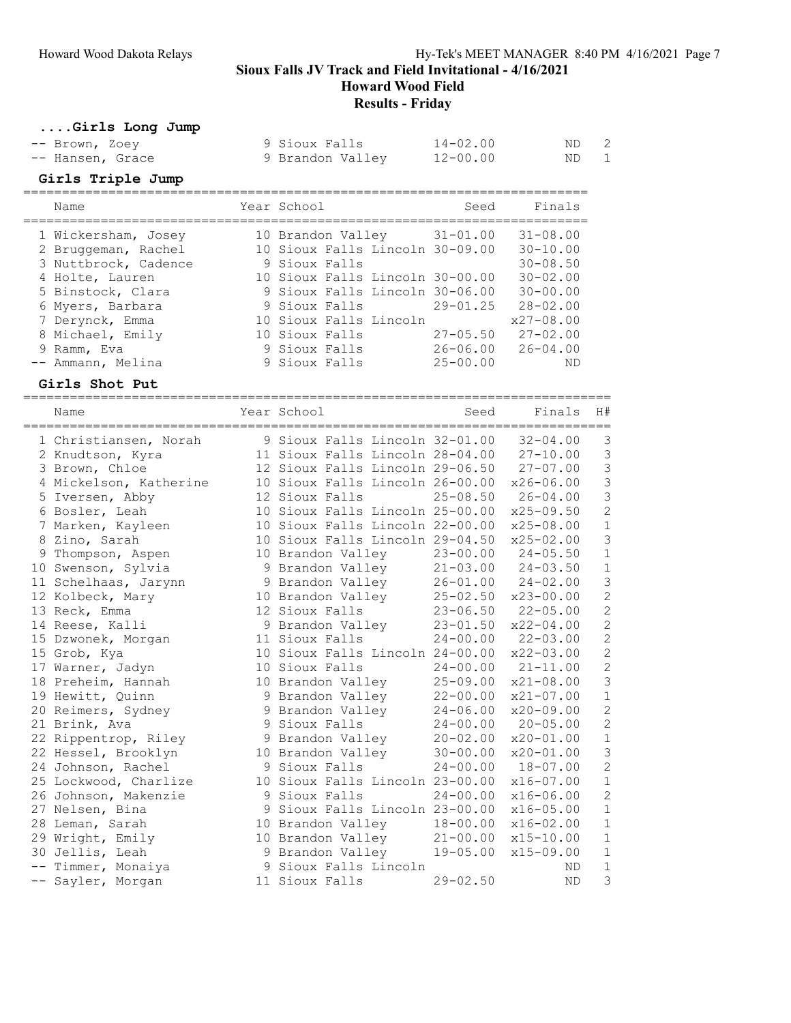Howard Wood Field

Results - Friday

### ....Girls Long Jump

| -- Brown, Zoey   | 9 Sioux Falls    | $14 - 02.00$ | ND 2 |  |
|------------------|------------------|--------------|------|--|
| -- Hansen, Grace | 9 Brandon Valley | 12-00.00     | ND 1 |  |

#### Girls Triple Jump

| Name                 | Year School    |                        | Seed                            | Finals        |
|----------------------|----------------|------------------------|---------------------------------|---------------|
| 1 Wickersham, Josey  |                |                        | 10 Brandon Valley 31-01.00      | $31 - 08.00$  |
| 2 Bruggeman, Rachel  |                |                        | 10 Sioux Falls Lincoln 30-09.00 | $30 - 10.00$  |
| 3 Nuttbrock, Cadence | 9 Sioux Falls  |                        |                                 | $30 - 08.50$  |
| 4 Holte, Lauren      |                |                        | 10 Sioux Falls Lincoln 30-00.00 | $30 - 02.00$  |
| 5 Binstock, Clara    |                |                        | 9 Sioux Falls Lincoln 30-06.00  | $30 - 00.00$  |
| 6 Myers, Barbara     | 9 Sioux Falls  |                        | $29 - 01$ , 25                  | $28 - 02.00$  |
| 7 Derynck, Emma      |                | 10 Sioux Falls Lincoln |                                 | $x27 - 08.00$ |
| 8 Michael, Emily     | 10 Sioux Falls |                        | $27 - 05.50$                    | $27 - 02.00$  |
| 9 Ramm, Eva          | 9 Sioux Falls  |                        | $26 - 06.00$                    | $26 - 04.00$  |
| -- Ammann, Melina    | 9 Sioux Falls  |                        | $25 - 00.00$                    | ND            |

#### Girls Shot Put

============================================================================ Name Year School Seed Finals H# ============================================================================ 1 Christiansen, Norah 9 Sioux Falls Lincoln 32-01.00 32-04.00 3 2 Knudtson, Kyra 11 Sioux Falls Lincoln 28-04.00 27-10.00 3 3 Brown, Chloe 12 Sioux Falls Lincoln 29-06.50 27-07.00 3 4 Mickelson, Katherine 10 Sioux Falls Lincoln 26-00.00 x26-06.00 3 5 Iversen, Abby 12 Sioux Falls 25-08.50 26-04.00 3 6 Bosler, Leah 10 Sioux Falls Lincoln 25-00.00 x25-09.50 2 7 Marken, Kayleen 10 Sioux Falls Lincoln 22-00.00 x25-08.00 1 8 Zino, Sarah 10 Sioux Falls Lincoln 29-04.50 x25-02.00 3 9 Thompson, Aspen 10 Brandon Valley 23-00.00 24-05.50 1 10 Swenson, Sylvia 9 Brandon Valley 21-03.00 24-03.50 1 11 Schelhaas, Jarynn 9 Brandon Valley 26-01.00 24-02.00 3 12 Kolbeck, Mary 10 Brandon Valley 25-02.50 x23-00.00 2 13 Reck, Emma 12 Sioux Falls 23-06.50 22-05.00 2 14 Reese, Kalli 9 Brandon Valley 23-01.50 x22-04.00 2 15 Dzwonek, Morgan 11 Sioux Falls 24-00.00 22-03.00 2 15 Grob, Kya 10 Sioux Falls Lincoln 24-00.00 x22-03.00 2 17 Warner, Jadyn 10 Sioux Falls 24-00.00 21-11.00 2 18 Preheim, Hannah 10 Brandon Valley 25-09.00 x21-08.00 3 19 Hewitt, Quinn 9 Brandon Valley 22-00.00 x21-07.00 1 20 Reimers, Sydney 9 Brandon Valley 24-06.00 x20-09.00 2 21 Brink, Ava 9 Sioux Falls 24-00.00 20-05.00 2 22 Rippentrop, Riley 9 Brandon Valley 20-02.00 x20-01.00 1 22 Hessel, Brooklyn 10 Brandon Valley 30-00.00 x20-01.00 3 24 Johnson, Rachel 9 Sioux Falls 24-00.00 18-07.00 2 25 Lockwood, Charlize 10 Sioux Falls Lincoln 23-00.00 x16-07.00 1 26 Johnson, Makenzie 9 Sioux Falls 24-00.00 x16-06.00 2 27 Nelsen, Bina 9 Sioux Falls Lincoln 23-00.00 x16-05.00 1 28 Leman, Sarah 10 Brandon Valley 18-00.00 x16-02.00 1 29 Wright, Emily 10 Brandon Valley 21-00.00 x15-10.00 1 30 Jellis, Leah 9 Brandon Valley 19-05.00 x15-09.00 1 -- Timmer, Monaiya 9 Sioux Falls Lincoln ND 1 -- Sayler, Morgan 11 Sioux Falls 29-02.50 ND 3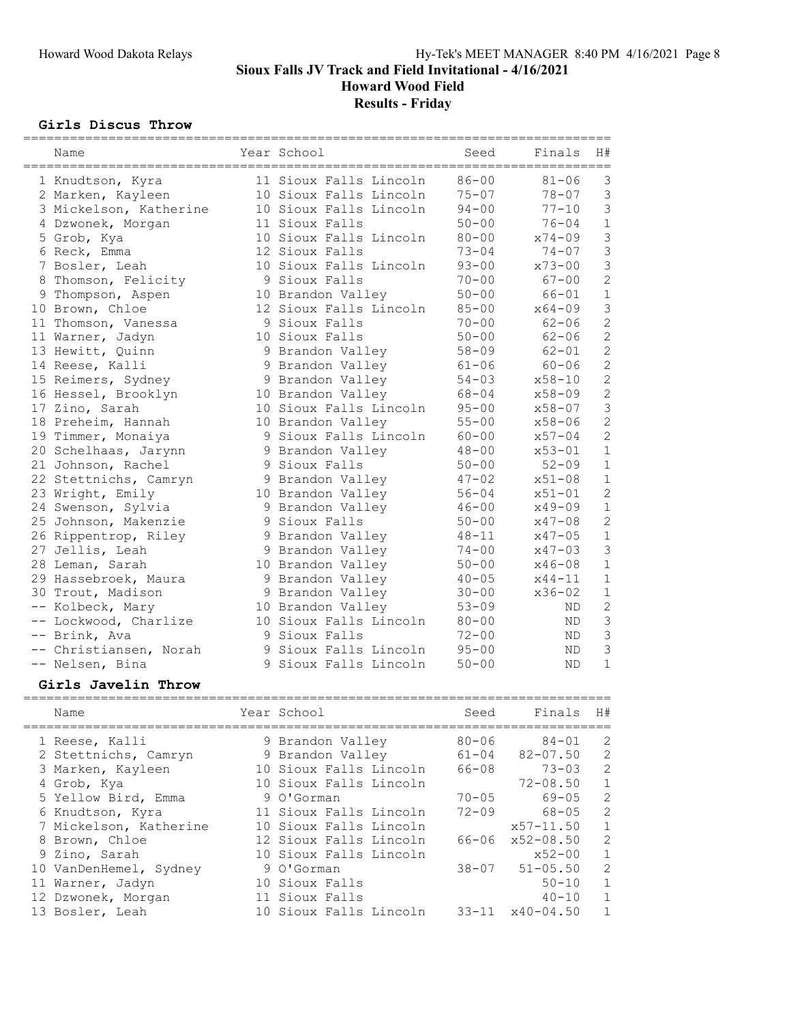Howard Wood Field

# Results - Friday

#### Girls Discus Throw

| Name                                   | Year School            | Seed      | Finals     | H#             |
|----------------------------------------|------------------------|-----------|------------|----------------|
| ====================================== |                        |           |            |                |
| 1 Knudtson, Kyra                       | 11 Sioux Falls Lincoln | $86 - 00$ | $81 - 06$  | 3              |
| 2 Marken, Kayleen                      | 10 Sioux Falls Lincoln | $75 - 07$ | $78 - 07$  | 3              |
| 3 Mickelson, Katherine                 | 10 Sioux Falls Lincoln | $94 - 00$ | $77 - 10$  | 3              |
| 4 Dzwonek, Morgan                      | 11 Sioux Falls         | $50 - 00$ | $76 - 04$  | $\mathbf 1$    |
| 5 Grob, Kya                            | 10 Sioux Falls Lincoln | $80 - 00$ | $x74 - 09$ | 3              |
| 6 Reck, Emma                           | 12 Sioux Falls         | $73 - 04$ | $74 - 07$  | $\mathfrak{Z}$ |
| 7 Bosler, Leah                         | 10 Sioux Falls Lincoln | $93 - 00$ | $x73 - 00$ | 3              |
| 8 Thomson, Felicity                    | 9 Sioux Falls          | $70 - 00$ | $67 - 00$  | $\overline{c}$ |
| 9 Thompson, Aspen                      | 10 Brandon Valley      | $50 - 00$ | $66 - 01$  | $1\,$          |
| 10 Brown, Chloe                        | 12 Sioux Falls Lincoln | $85 - 00$ | $x64 - 09$ | 3              |
| 11 Thomson, Vanessa                    | 9 Sioux Falls          | $70 - 00$ | $62 - 06$  | $\overline{c}$ |
| 11 Warner, Jadyn                       | 10 Sioux Falls         | $50 - 00$ | $62 - 06$  | $\overline{c}$ |
| 13 Hewitt, Quinn                       | 9 Brandon Valley       | $58 - 09$ | $62 - 01$  | $\overline{c}$ |
| 14 Reese, Kalli                        | 9 Brandon Valley       | $61 - 06$ | $60 - 06$  | $\overline{c}$ |
| 15 Reimers, Sydney                     | 9 Brandon Valley       | $54 - 03$ | $x58 - 10$ | $\overline{c}$ |
| 16 Hessel, Brooklyn                    | 10 Brandon Valley      | $68 - 04$ | $x58 - 09$ | $\overline{c}$ |
| 17 Zino, Sarah                         | 10 Sioux Falls Lincoln | $95 - 00$ | $x58 - 07$ | 3              |
| 18 Preheim, Hannah                     | 10 Brandon Valley      | $55 - 00$ | $x58 - 06$ | $\overline{c}$ |
| 19 Timmer, Monaiya                     | 9 Sioux Falls Lincoln  | $60 - 00$ | $x57 - 04$ | $\overline{c}$ |
| 20 Schelhaas, Jarynn                   | 9 Brandon Valley       | $48 - 00$ | $x53 - 01$ | $1\,$          |
| 21 Johnson, Rachel                     | 9 Sioux Falls          | $50 - 00$ | $52 - 09$  | $\mathbf{1}$   |
| 22 Stettnichs, Camryn                  | 9 Brandon Valley       | $47 - 02$ | $x51 - 08$ | $\mathbf 1$    |
| 23 Wright, Emily                       | 10 Brandon Valley      | $56 - 04$ | $x51 - 01$ | $\overline{c}$ |
| 24 Swenson, Sylvia                     | 9 Brandon Valley       | $46 - 00$ | $x49 - 09$ | $\mathbf 1$    |
| 25 Johnson, Makenzie                   | 9 Sioux Falls          | $50 - 00$ | $x47 - 08$ | $\overline{c}$ |
| 26 Rippentrop, Riley                   | 9 Brandon Valley       | $48 - 11$ | $x47 - 05$ | $1\,$          |
| 27 Jellis, Leah                        | 9 Brandon Valley       | $74 - 00$ | $x47 - 03$ | 3              |
| 28 Leman, Sarah                        | 10 Brandon Valley      | $50 - 00$ | $x46 - 08$ | $1\,$          |
| 29 Hassebroek, Maura                   | 9 Brandon Valley       | $40 - 05$ | $x44 - 11$ | $\mathbf 1$    |
| 30 Trout, Madison                      | 9 Brandon Valley       | $30 - 00$ | $x36 - 02$ | $\mathbf 1$    |
| -- Kolbeck, Mary                       | 10 Brandon Valley      | $53 - 09$ | ND.        | $\overline{c}$ |
|                                        | 10 Sioux Falls Lincoln | $80 - 00$ |            | $\mathfrak{Z}$ |
| -- Lockwood, Charlize                  | 9 Sioux Falls          | $72 - 00$ | ND.        | 3              |
| -- Brink, Ava                          | 9 Sioux Falls Lincoln  | $95 - 00$ | ND.        | 3              |
| -- Christiansen, Norah                 |                        |           | ND         |                |
| -- Nelsen, Bina                        | 9 Sioux Falls Lincoln  | $50 - 00$ | <b>ND</b>  | $\mathbf 1$    |

#### Girls Javelin Throw

| Name                   | Year School            | Seed      | Finals                      | H#           |
|------------------------|------------------------|-----------|-----------------------------|--------------|
| 1 Reese, Kalli         | 9 Brandon Valley       | $80 - 06$ | $84 - 01$                   | 2            |
| 2 Stettnichs, Camryn   | 9 Brandon Valley       | $61 - 04$ | $82 - 07.50$                | 2            |
| 3 Marken, Kayleen      | 10 Sioux Falls Lincoln | 66-08     | $73 - 03$                   | 2            |
| 4 Grob, Kya            | 10 Sioux Falls Lincoln |           | $72 - 08.50$                | 1            |
| 5 Yellow Bird, Emma    | 9 O'Gorman             |           | $70 - 05$ 69-05             | 2            |
| 6 Knudtson, Kyra       | 11 Sioux Falls Lincoln |           | $72 - 09$ 68-05             | 2            |
| 7 Mickelson, Katherine | 10 Sioux Falls Lincoln |           | $x57 - 11.50$               | $\mathbf{1}$ |
| 8 Brown, Chloe         | 12 Sioux Falls Lincoln | 66-06     | $x52 - 08.50$               | 2            |
| 9 Zino, Sarah          | 10 Sioux Falls Lincoln |           | $x52 - 00$                  | $\mathbf{1}$ |
| 10 VanDenHemel, Sydney | 9 O'Gorman             |           | $38 - 07$ $51 - 05.50$      | 2            |
| 11 Warner, Jadyn       | 10 Sioux Falls         |           | $50 - 10$                   | 1            |
| 12 Dzwonek, Morgan     | 11 Sioux Falls         |           | $40 - 10$                   | $\mathbf{1}$ |
| 13 Bosler, Leah        | 10 Sioux Falls Lincoln |           | $33 - 11 \times 40 - 04.50$ | $\mathbf{1}$ |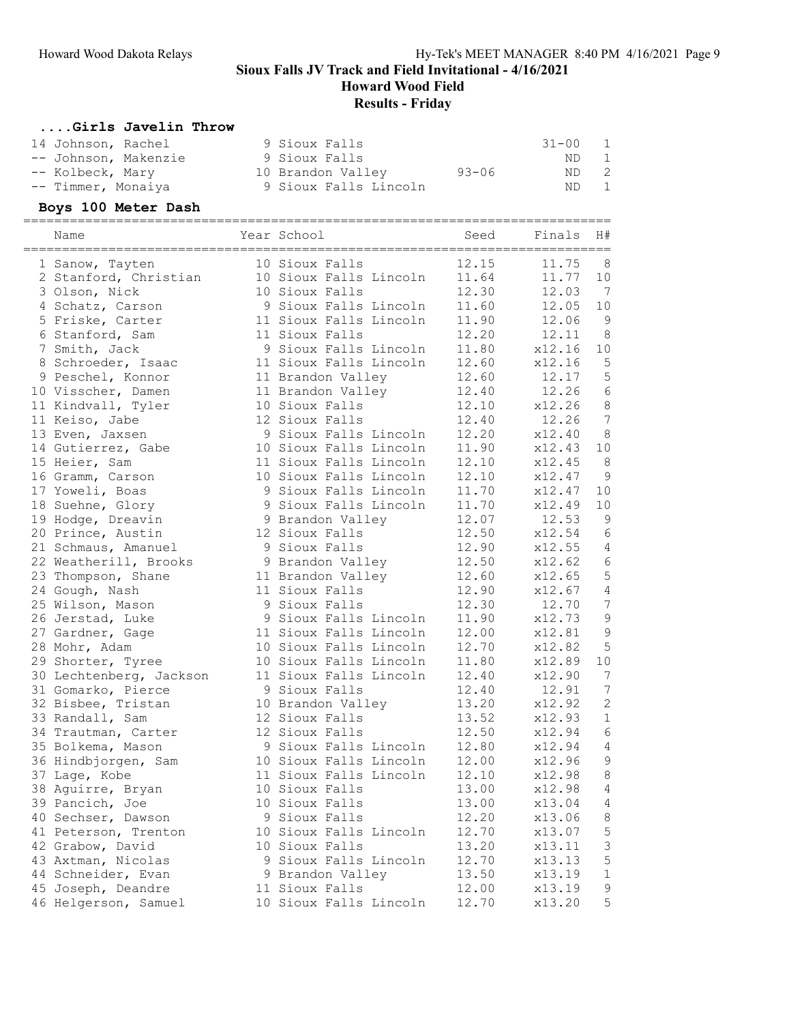Howard Wood Field

# Results - Friday

### ....Girls Javelin Throw

| 14 Johnson, Rachel   | 9 Sioux Falls         |           | 31-00 | $\overline{1}$ |
|----------------------|-----------------------|-----------|-------|----------------|
| -- Johnson, Makenzie | 9 Sioux Falls         |           | ND    | $\overline{1}$ |
| -- Kolbeck, Mary     | 10 Brandon Valley     | $93 - 06$ | ND 2  |                |
| -- Timmer, Monaiya   | 9 Sioux Falls Lincoln |           | ND.   | $\blacksquare$ |

# Boys 100 Meter Dash

| Name                    | Year School            | Seed  | ==========<br>Finals<br>================= | H#             |
|-------------------------|------------------------|-------|-------------------------------------------|----------------|
| 1 Sanow, Tayten         | 10 Sioux Falls         | 12.15 | 11.75                                     | 8              |
| 2 Stanford, Christian   | 10 Sioux Falls Lincoln | 11.64 | 11.77                                     | 10             |
| 3 Olson, Nick           | 10 Sioux Falls         | 12.30 | 12.03                                     | $\overline{7}$ |
| 4 Schatz, Carson        | 9 Sioux Falls Lincoln  | 11.60 | 12.05                                     | 10             |
| 5 Friske, Carter        | 11 Sioux Falls Lincoln | 11.90 | 12.06                                     | 9              |
| 6 Stanford, Sam         | 11 Sioux Falls         | 12.20 | 12.11                                     | 8              |
| 7 Smith, Jack           | 9 Sioux Falls Lincoln  | 11.80 | x12.16                                    | 10             |
| 8 Schroeder, Isaac      | 11 Sioux Falls Lincoln | 12.60 | x12.16                                    | 5              |
| 9 Peschel, Konnor       | 11 Brandon Valley      | 12.60 | 12.17                                     | 5              |
| 10 Visscher, Damen      | 11 Brandon Valley      | 12.40 | 12.26                                     | $\epsilon$     |
| 11 Kindvall, Tyler      | 10 Sioux Falls         | 12.10 | x12.26                                    | $\,8\,$        |
| 11 Keiso, Jabe          | 12 Sioux Falls         | 12.40 | 12.26                                     | $\overline{7}$ |
| 13 Even, Jaxsen         | 9 Sioux Falls Lincoln  | 12.20 | x12.40                                    | $\,8\,$        |
| 14 Gutierrez, Gabe      | 10 Sioux Falls Lincoln | 11.90 | x12.43                                    | 10             |
| 15 Heier, Sam           | 11 Sioux Falls Lincoln | 12.10 | x12.45                                    | 8              |
| 16 Gramm, Carson        | 10 Sioux Falls Lincoln | 12.10 | x12.47                                    | $\overline{9}$ |
| 17 Yoweli, Boas         | 9 Sioux Falls Lincoln  | 11.70 | x12.47                                    | 10             |
| 18 Suehne, Glory        | 9 Sioux Falls Lincoln  | 11.70 | x12.49                                    | 10             |
| 19 Hodge, Dreavin       | 9 Brandon Valley       | 12.07 | 12.53                                     | $\overline{9}$ |
| 20 Prince, Austin       | 12 Sioux Falls         | 12.50 | x12.54                                    | $\epsilon$     |
| 21 Schmaus, Amanuel     | 9 Sioux Falls          | 12.90 | x12.55                                    | $\sqrt{4}$     |
| 22 Weatherill, Brooks   | 9 Brandon Valley       | 12.50 | x12.62                                    | $\epsilon$     |
| 23 Thompson, Shane      | 11 Brandon Valley      | 12.60 | x12.65                                    | 5              |
| 24 Gough, Nash          | 11 Sioux Falls         | 12.90 | x12.67                                    | $\overline{4}$ |
| 25 Wilson, Mason        | 9 Sioux Falls          | 12.30 | 12.70                                     | $\overline{7}$ |
| 26 Jerstad, Luke        | 9 Sioux Falls Lincoln  | 11.90 | x12.73                                    | 9              |
| 27 Gardner, Gage        | 11 Sioux Falls Lincoln | 12.00 | x12.81                                    | 9              |
| 28 Mohr, Adam           | 10 Sioux Falls Lincoln | 12.70 | x12.82                                    | 5              |
| 29 Shorter, Tyree       | 10 Sioux Falls Lincoln | 11.80 | x12.89                                    | 10             |
| 30 Lechtenberg, Jackson | 11 Sioux Falls Lincoln | 12.40 | x12.90                                    | $\overline{7}$ |
| 31 Gomarko, Pierce      | 9 Sioux Falls          | 12.40 | 12.91                                     | $\overline{7}$ |
| 32 Bisbee, Tristan      | 10 Brandon Valley      | 13.20 | x12.92                                    | $\mathbf 2$    |
| 33 Randall, Sam         | 12 Sioux Falls         | 13.52 | x12.93                                    | $\mathbf 1$    |
| 34 Trautman, Carter     | 12 Sioux Falls         | 12.50 | x12.94                                    | $\epsilon$     |
| 35 Bolkema, Mason       | 9 Sioux Falls Lincoln  | 12.80 | x12.94                                    | $\overline{4}$ |
| 36 Hindbjorgen, Sam     | 10 Sioux Falls Lincoln | 12.00 | x12.96                                    | $\mathcal{G}$  |
| 37 Lage, Kobe           | 11 Sioux Falls Lincoln | 12.10 | x12.98                                    | $\,8\,$        |
| 38 Aguirre, Bryan       | 10 Sioux Falls         | 13.00 | x12.98                                    | $\sqrt{4}$     |
| 39 Pancich, Joe         | 10 Sioux Falls         | 13.00 | x13.04                                    | 4              |
| 40 Sechser, Dawson      | 9 Sioux Falls          | 12.20 | x13.06                                    | $\,8\,$        |
| 41 Peterson, Trenton    | 10 Sioux Falls Lincoln | 12.70 | x13.07                                    | 5              |
| 42 Grabow, David        | 10 Sioux Falls         | 13.20 | x13.11                                    | 3              |
| 43 Axtman, Nicolas      | 9 Sioux Falls Lincoln  | 12.70 | x13.13                                    | 5              |
| 44 Schneider, Evan      | 9 Brandon Valley       | 13.50 | x13.19                                    | $\mathbf 1$    |
| 45 Joseph, Deandre      | 11 Sioux Falls         | 12.00 | x13.19                                    | 9              |
| 46 Helgerson, Samuel    | 10 Sioux Falls Lincoln | 12.70 | x13.20                                    | $\mathsf S$    |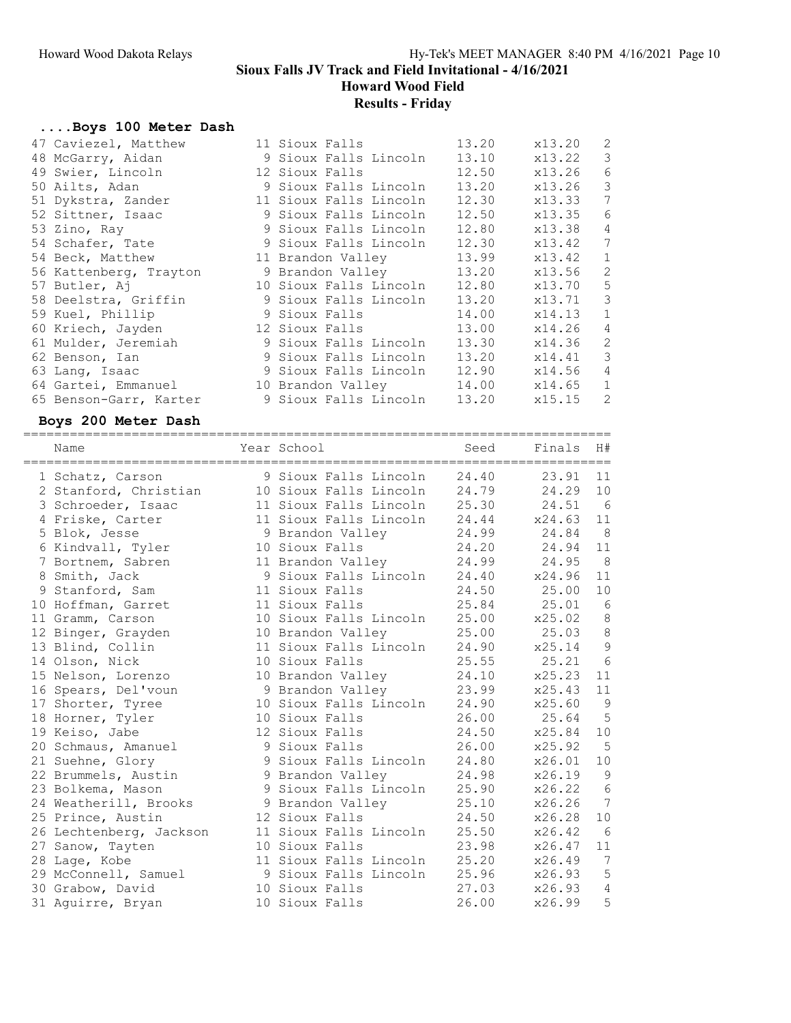Howard Wood Field

# Results - Friday

# ....Boys 100 Meter Dash

| 47 Caviezel, Matthew   | 11 Sioux Falls              | 13.20 | x13.20 | 2           |
|------------------------|-----------------------------|-------|--------|-------------|
| 48 McGarry, Aidan      | 9 Sioux Falls Lincoln       | 13.10 | x13.22 | 3           |
| 49 Swier, Lincoln      | 12 Sioux Falls              | 12.50 | x13.26 | 6           |
| 50 Ailts, Adan         | 9 Sioux Falls Lincoln       | 13.20 | x13.26 | 3           |
| 51 Dykstra, Zander     | 11 Sioux Falls Lincoln      | 12.30 | x13.33 | 7           |
| 52 Sittner, Isaac      | 9 Sioux Falls Lincoln       | 12.50 | x13.35 | 6           |
| 53 Zino, Ray           | 9 Sioux Falls Lincoln       | 12.80 | x13.38 | 4           |
| 54 Schafer, Tate       | 9 Sioux Falls Lincoln       | 12.30 | x13.42 | 7           |
| 54 Beck, Matthew       | 11 Brandon Valley           | 13.99 | x13.42 | $\mathbf 1$ |
| 56 Kattenberg, Trayton | 9 Brandon Valley            | 13.20 | x13.56 | 2           |
| 57 Butler, Aj          | 10 Sioux Falls Lincoln      | 12.80 | x13.70 | 5           |
| 58 Deelstra, Griffin   | 9 Sioux Falls Lincoln       | 13.20 | x13.71 | 3           |
| 59 Kuel, Phillip       | 9 Sioux Falls               | 14.00 | x14.13 | $\mathbf 1$ |
| 60 Kriech, Jayden      | 12 Sioux Falls 13.00        |       | x14.26 | 4           |
| 61 Mulder, Jeremiah    | 9 Sioux Falls Lincoln       | 13.30 | x14.36 | 2           |
| 62 Benson, Ian         | 9 Sioux Falls Lincoln       | 13.20 | x14.41 | 3           |
| 63 Lang, Isaac         | 9 Sioux Falls Lincoln 12.90 |       | x14.56 | 4           |
| 64 Gartei, Emmanuel    | 10 Brandon Valley 14.00     |       | x14.65 | $\mathbf 1$ |
| 65 Benson-Garr, Karter | 9 Sioux Falls Lincoln       | 13.20 | x15.15 | 2           |

#### Boys 200 Meter Dash

| Name                                               | Year School                        | Seed         | Finals  | H#              |
|----------------------------------------------------|------------------------------------|--------------|---------|-----------------|
| 1 Schatz, Carson                                   | 9 Sioux Falls Lincoln              | 24.40        | 23.91   | 11              |
| 2 Stanford, Christian 10 Sioux Falls Lincoln 24.79 |                                    |              | 24.29   | 10              |
| 3 Schroeder, Isaac                                 | 11 Sioux Falls Lincoln 25.30       |              | 24.51   | 6               |
| 4 Friske, Carter                                   | 11 Sioux Falls Lincoln 24.44       |              | x24.63  | 11              |
| 5 Blok, Jesse                                      | 9 Brandon Valley 24.99             |              | 24.84   | 8               |
| 6 Kindvall, Tyler                                  | 10 Sioux Falls                     | 24.20        | 24.94   | 11              |
| 7 Bortnem, Sabren                                  | 11 Brandon Valley                  | 24.99        | 24.95   | 8               |
| 8 Smith, Jack                                      | 9 Sioux Falls Lincoln 24.40 x24.96 |              |         | 11              |
| 9 Stanford, Sam                                    | 11 Sioux Falls                     | 24.50 25.00  |         | 10              |
| 10 Hoffman, Garret                                 | 11 Sioux Falls                     | 25.84 25.01  |         | $6\overline{6}$ |
| 11 Gramm, Carson                                   | 10 Sioux Falls Lincoln 25.00       |              | x25.02  | 8               |
| 12 Binger, Grayden                                 | 10 Brandon Valley                  | 25.00        | 25.03 8 |                 |
| 13 Blind, Collin                                   | 11 Sioux Falls Lincoln 24.90       |              | x25.14  | $\overline{9}$  |
| 14 Olson, Nick                                     | 10 Sioux Falls                     | 25.55        | 25.21   | 6               |
| 15 Nelson, Lorenzo                                 | 10 Brandon Valley 24.10            |              | x25.23  | 11              |
| 16 Spears, Del'voun                                | 9 Brandon Valley                   | 23.99        | x25.43  | 11              |
| 17 Shorter, Tyree                                  | 10 Sioux Falls Lincoln             | 24.90        | x25.60  | $\overline{9}$  |
| 18 Horner, Tyler                                   | 10 Sioux Falls                     | 26.00        | 25.64   | $5^{\circ}$     |
| 19 Keiso, Jabe                                     | 12 Sioux Falls                     | 24.50        | x25.84  | 10              |
| 20 Schmaus, Amanuel                                | 9 Sioux Falls                      | 26.00        | x25.92  | $5^{\circ}$     |
| 21 Suehne, Glory                                   | 9 Sioux Falls Lincoln 24.80        |              | x26.01  | 10              |
| 22 Brummels, Austin                                | 9 Brandon Valley                   | 24.98        | x26.19  | $\overline{9}$  |
| 23 Bolkema, Mason                                  | 9 Sioux Falls Lincoln 25.90        |              | x26.22  | $6\overline{6}$ |
| 24 Weatherill, Brooks                              | 9 Brandon Valley                   | 25.10        | x26.26  | 7               |
| 25 Prince, Austin                                  | 12 Sioux Falls                     | 24.50        | x26.28  | 10              |
| 26 Lechtenberg, Jackson                            | 11 Sioux Falls Lincoln             | 25.50        | x26.42  | 6               |
| 27 Sanow, Tayten                                   | 10 Sioux Falls                     | 23.98        | x26.47  | 11              |
| 28 Lage, Kobe                                      | 11 Sioux Falls Lincoln 25.20       |              | x26.49  | $\overline{7}$  |
| 29 McConnell, Samuel                               | 9 Sioux Falls Lincoln 25.96        |              | x26.93  | 5               |
| 30 Grabow, David                                   | 10 Sioux Falls                     | 27.03 x26.93 |         | $\sqrt{4}$      |
| 31 Aquirre, Bryan                                  | 10 Sioux Falls                     | 26.00        | x26.99  | 5               |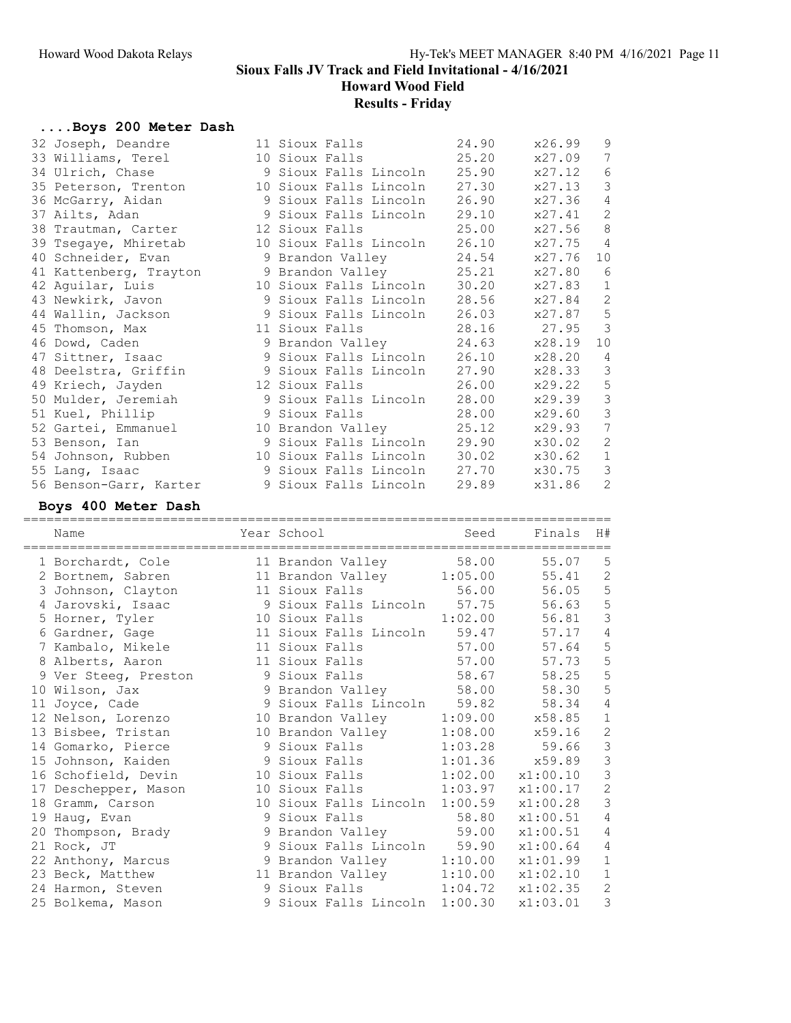Howard Wood Field

# Results - Friday

# ....Boys 200 Meter Dash

| 32 Joseph, Deandre     | 11 Sioux Falls               | 24.90 | x26.99 | 9              |
|------------------------|------------------------------|-------|--------|----------------|
| 33 Williams, Terel     | 10 Sioux Falls 25.20         |       | x27.09 | 7              |
| 34 Ulrich, Chase       | 9 Sioux Falls Lincoln 25.90  |       | x27.12 | $\epsilon$     |
| 35 Peterson, Trenton   | 10 Sioux Falls Lincoln 27.30 |       | x27.13 | $\mathcal{S}$  |
| 36 McGarry, Aidan      | 9 Sioux Falls Lincoln 26.90  |       | x27.36 | $\overline{4}$ |
| 37 Ailts, Adan         | 9 Sioux Falls Lincoln 29.10  |       | x27.41 | $\overline{c}$ |
| 38 Trautman, Carter    | 12 Sioux Falls 25.00         |       | x27.56 | $\,$ 8         |
| 39 Tsegaye, Mhiretab   | 10 Sioux Falls Lincoln 26.10 |       | x27.75 | $\overline{4}$ |
| 40 Schneider, Evan     | 9 Brandon Valley 24.54       |       | x27.76 | 10             |
| 41 Kattenberg, Trayton | 9 Brandon Valley 25.21       |       | x27.80 | 6              |
| 42 Aguilar, Luis       | 10 Sioux Falls Lincoln 30.20 |       | x27.83 | $\mathbf{1}$   |
| 43 Newkirk, Javon      | 9 Sioux Falls Lincoln 28.56  |       | x27.84 | $\sqrt{2}$     |
| 44 Wallin, Jackson     | 9 Sioux Falls Lincoln 26.03  |       | x27.87 | $\mathsf S$    |
| 45 Thomson, Max        | 11 Sioux Falls               | 28.16 | 27.95  | 3              |
| 46 Dowd, Caden         | 9 Brandon Valley 24.63       |       | x28.19 | 10             |
| 47 Sittner, Isaac      | 9 Sioux Falls Lincoln 26.10  |       | x28.20 | $\overline{4}$ |
| 48 Deelstra, Griffin   | 9 Sioux Falls Lincoln 27.90  |       | x28.33 | 3              |
| 49 Kriech, Jayden      | 12 Sioux Falls 26.00         |       | x29.22 | 5              |
| 50 Mulder, Jeremiah    | 9 Sioux Falls Lincoln 28.00  |       | x29.39 | $\mathsf 3$    |
| 51 Kuel, Phillip       | 9 Sioux Falls                | 28.00 | x29.60 | $\mathfrak{Z}$ |
| 52 Gartei, Emmanuel    | 10 Brandon Valley 25.12      |       | x29.93 | 7              |
| 53 Benson, Ian         | 9 Sioux Falls Lincoln 29.90  |       | x30.02 | $\mathbf{2}$   |
| 54 Johnson, Rubben     | 10 Sioux Falls Lincoln 30.02 |       | x30.62 | $\,1\,$        |
| 55 Lang, Isaac         | 9 Sioux Falls Lincoln 27.70  |       | x30.75 | $\mathcal{S}$  |
| 56 Benson-Garr, Karter | 9 Sioux Falls Lincoln        | 29.89 | x31.86 | 2              |

### Boys 400 Meter Dash

| Name                 | Year School                    | Seed    | Finals      | H#             |
|----------------------|--------------------------------|---------|-------------|----------------|
| 1 Borchardt, Cole    | 11 Brandon Valley              | 58.00   | 55.07       | 5              |
| 2 Bortnem, Sabren    | 11 Brandon Valley 1:05.00      |         | 55.41       | $\mathbf{2}$   |
| 3 Johnson, Clayton   | 11 Sioux Falls 56.00           |         | 56.05       | 5              |
| 4 Jarovski, Isaac    | 9 Sioux Falls Lincoln 57.75    |         | 56.63       | 5              |
| 5 Horner, Tyler      | 10 Sioux Falls                 | 1:02.00 | 56.81       | $\mathfrak{Z}$ |
| 6 Gardner, Gage      | 11 Sioux Falls Lincoln 59.47   |         | 57.17       | 4              |
| 7 Kambalo, Mikele    | 11 Sioux Falls                 | 57.00   | 57.64       | 5              |
| 8 Alberts, Aaron     | 11 Sioux Falls                 | 57.00   | 57.73       | 5              |
| 9 Ver Steeg, Preston | 9 Sioux Falls                  |         | 58.67 58.25 | 5              |
| 10 Wilson, Jax       | 9 Brandon Valley 58.00         |         | 58.30       | 5              |
| 11 Joyce, Cade       | 9 Sioux Falls Lincoln 59.82    |         | 58.34       | $\overline{4}$ |
| 12 Nelson, Lorenzo   | 10 Brandon Valley              | 1:09.00 | x58.85      | $\mathbf 1$    |
| 13 Bisbee, Tristan   | 10 Brandon Valley              | 1:08.00 | x59.16      | $\mathbf{2}$   |
| 14 Gomarko, Pierce   | 9 Sioux Falls                  | 1:03.28 | 59.66       | $\mathfrak{Z}$ |
| 15 Johnson, Kaiden   | 9 Sioux Falls                  | 1:01.36 | x59.89      | $\mathfrak{Z}$ |
| 16 Schofield, Devin  | 10 Sioux Falls                 | 1:02.00 | x1:00.10    | $\mathfrak{Z}$ |
| 17 Deschepper, Mason | 1:03.97<br>10 Sioux Falls      |         | x1:00.17    | $\overline{c}$ |
| 18 Gramm, Carson     | 10 Sioux Falls Lincoln 1:00.59 |         | x1:00.28    | 3              |
| 19 Hauq, Evan        | 9 Sioux Falls                  | 58.80   | x1:00.51    | 4              |
| 20 Thompson, Brady   | 9 Brandon Valley 59.00         |         | x1:00.51    | $\sqrt{4}$     |
| 21 Rock, JT          | 9 Sioux Falls Lincoln 59.90    |         | x1:00.64    | 4              |
| 22 Anthony, Marcus   | 9 Brandon Valley               | 1:10.00 | x1:01.99    | $\mathbf 1$    |
| 23 Beck, Matthew     | 11 Brandon Valley              | 1:10.00 | x1:02.10    | $\mathbf 1$    |
| 24 Harmon, Steven    | 9 Sioux Falls 1:04.72          |         | x1:02.35    | $\overline{c}$ |
| 25 Bolkema, Mason    | 9 Sioux Falls Lincoln 1:00.30  |         | x1:03.01    | 3              |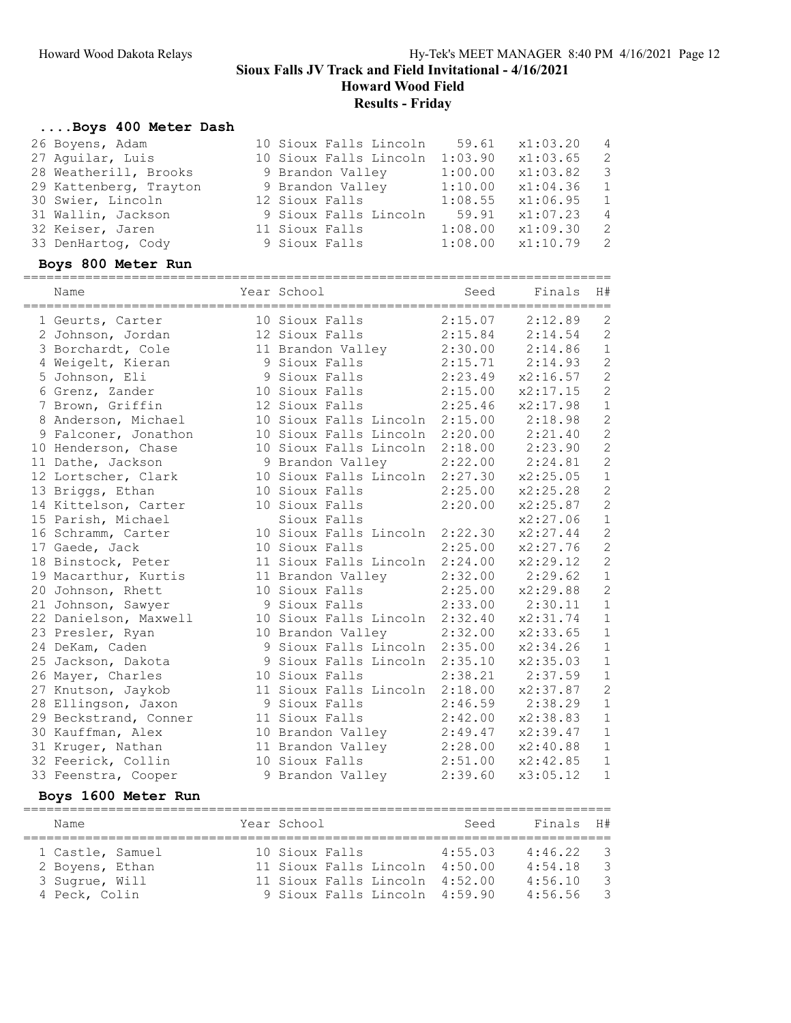Howard Wood Field

# Results - Friday

# ....Boys 400 Meter Dash

| 26 Boyens, Adam<br>27 Aguilar, Luis<br>28 Weatherill, Brooks<br>29 Kattenberg, Trayton<br>30 Swier, Lincoln<br>31 Wallin, Jackson<br>32 Keiser, Jaren<br>33 DenHartog, Cody<br>Boys 800 Meter Run | 10 Sioux Falls Lincoln<br>10 Sioux Falls Lincoln<br>9 Brandon Valley<br>9 Brandon Valley<br>12 Sioux Falls<br>9 Sioux Falls Lincoln<br>11 Sioux Falls<br>9 Sioux Falls | 59.61<br>1:03.90<br>1:00.00<br>1:10.00<br>1:08.55<br>59.91<br>1:08.00<br>1:08.00 | x1:03.20<br>x1:03.65<br>x1:03.82<br>x1:04.36<br>x1:06.95<br>x1:07.23<br>x1:09.30<br>x1:10.79 | 4<br>$\mathbf{2}$<br>$\mathsf 3$<br>$\mathbf 1$<br>$\mathbf 1$<br>$\sqrt{4}$<br>$\sqrt{2}$<br>$\mathbf{2}$ |
|---------------------------------------------------------------------------------------------------------------------------------------------------------------------------------------------------|------------------------------------------------------------------------------------------------------------------------------------------------------------------------|----------------------------------------------------------------------------------|----------------------------------------------------------------------------------------------|------------------------------------------------------------------------------------------------------------|
| Name                                                                                                                                                                                              | Year School                                                                                                                                                            | Seed                                                                             | Finals                                                                                       | H#                                                                                                         |
| 1 Geurts, Carter                                                                                                                                                                                  | 10 Sioux Falls                                                                                                                                                         | 2:15.07                                                                          | 2:12.89                                                                                      | 2                                                                                                          |
| 2 Johnson, Jordan                                                                                                                                                                                 | 12 Sioux Falls                                                                                                                                                         | 2:15.84                                                                          | 2:14.54                                                                                      | $\mathbf{2}$                                                                                               |
| 3 Borchardt, Cole                                                                                                                                                                                 | 11 Brandon Valley                                                                                                                                                      | 2:30.00                                                                          | 2:14.86                                                                                      | $\mathbf{1}$                                                                                               |
| 4 Weigelt, Kieran                                                                                                                                                                                 | 9 Sioux Falls                                                                                                                                                          | 2:15.71                                                                          | 2:14.93                                                                                      | $\sqrt{2}$                                                                                                 |
| 5 Johnson, Eli                                                                                                                                                                                    | 9 Sioux Falls                                                                                                                                                          | 2:23.49                                                                          | x2:16.57                                                                                     | $\sqrt{2}$                                                                                                 |
| 6 Grenz, Zander                                                                                                                                                                                   | 10 Sioux Falls                                                                                                                                                         | 2:15.00                                                                          | x2:17.15                                                                                     | $\mathbf{2}$                                                                                               |
| 7 Brown, Griffin                                                                                                                                                                                  | 12 Sioux Falls                                                                                                                                                         | 2:25.46                                                                          | x2:17.98                                                                                     | $1\,$                                                                                                      |
| 8 Anderson, Michael                                                                                                                                                                               | 10 Sioux Falls Lincoln 2:15.00                                                                                                                                         |                                                                                  | 2:18.98                                                                                      | $\mathbf{2}$                                                                                               |
| 9 Falconer, Jonathon                                                                                                                                                                              | 10 Sioux Falls Lincoln                                                                                                                                                 | 2:20.00                                                                          | 2:21.40                                                                                      | $\mathbf{2}$                                                                                               |
| 10 Henderson, Chase                                                                                                                                                                               | 10 Sioux Falls Lincoln 2:18.00                                                                                                                                         |                                                                                  | 2:23.90                                                                                      | $\sqrt{2}$                                                                                                 |
| 11 Dathe, Jackson                                                                                                                                                                                 | 9 Brandon Valley                                                                                                                                                       | 2:22.00                                                                          | 2:24.81                                                                                      | $\mathbf{2}$                                                                                               |
| 12 Lortscher, Clark                                                                                                                                                                               | 10 Sioux Falls Lincoln 2:27.30                                                                                                                                         |                                                                                  | x2:25.05                                                                                     | $\mathbf 1$                                                                                                |
| 13 Briggs, Ethan                                                                                                                                                                                  | 10 Sioux Falls                                                                                                                                                         | 2:25.00                                                                          | x2:25.28                                                                                     | $\sqrt{2}$                                                                                                 |
| 14 Kittelson, Carter                                                                                                                                                                              | 10 Sioux Falls                                                                                                                                                         | 2:20.00                                                                          | x2:25.87                                                                                     | $\mathbf{2}$                                                                                               |
| 15 Parish, Michael                                                                                                                                                                                | Sioux Falls                                                                                                                                                            |                                                                                  | x2:27.06                                                                                     | $1\,$                                                                                                      |
| 16 Schramm, Carter                                                                                                                                                                                | 10 Sioux Falls Lincoln 2:22.30                                                                                                                                         |                                                                                  | x2:27.44                                                                                     | $\sqrt{2}$                                                                                                 |
| 17 Gaede, Jack                                                                                                                                                                                    | 10 Sioux Falls                                                                                                                                                         | 2:25.00                                                                          | x2:27.76                                                                                     | $\mathbf{2}$                                                                                               |
| 18 Binstock, Peter                                                                                                                                                                                | 11 Sioux Falls Lincoln 2:24.00                                                                                                                                         |                                                                                  | x2:29.12                                                                                     | $\mathbf{2}$                                                                                               |
| 19 Macarthur, Kurtis                                                                                                                                                                              | 11 Brandon Valley                                                                                                                                                      | 2:32.00                                                                          | 2:29.62                                                                                      | $1\,$                                                                                                      |
| 20 Johnson, Rhett                                                                                                                                                                                 | 10 Sioux Falls                                                                                                                                                         | 2:25.00                                                                          | x2:29.88                                                                                     | $\mathbf{2}$                                                                                               |
| 21 Johnson, Sawyer                                                                                                                                                                                | 9 Sioux Falls                                                                                                                                                          | 2:33.00                                                                          | 2:30.11                                                                                      | $\mathbf 1$                                                                                                |
| 22 Danielson, Maxwell                                                                                                                                                                             | 10 Sioux Falls Lincoln 2:32.40                                                                                                                                         |                                                                                  | x2:31.74                                                                                     | $\mathbf 1$                                                                                                |
| 23 Presler, Ryan                                                                                                                                                                                  | 10 Brandon Valley                                                                                                                                                      | 2:32.00                                                                          | x2:33.65                                                                                     | $1\,$                                                                                                      |
| 24 DeKam, Caden                                                                                                                                                                                   | 9 Sioux Falls Lincoln 2:35.00                                                                                                                                          |                                                                                  | x2:34.26                                                                                     | $\mathbf{1}$                                                                                               |
| 25 Jackson, Dakota                                                                                                                                                                                | 9 Sioux Falls Lincoln 2:35.10                                                                                                                                          |                                                                                  | x2:35.03                                                                                     | $\mathbf 1$                                                                                                |
| 26 Mayer, Charles                                                                                                                                                                                 | 10 Sioux Falls<br>11 Sioux Falls Lincoln 2:18.00                                                                                                                       |                                                                                  | $2:38.21$ $2:37.59$                                                                          | $\mathbf 1$<br>$\mathbf{2}$                                                                                |
| 27 Knutson, Jaykob<br>28 Ellingson, Jaxon                                                                                                                                                         | 9 Sioux Falls                                                                                                                                                          | 2:46.59                                                                          | x2:37.87<br>2:38.29                                                                          | $\mathbf 1$                                                                                                |
| 29 Beckstrand, Conner                                                                                                                                                                             | 11 Sioux Falls                                                                                                                                                         |                                                                                  | 2:42.00 x2:38.83 1                                                                           |                                                                                                            |
| 30 Kauffman, Alex                                                                                                                                                                                 | 10 Brandon Valley                                                                                                                                                      | 2:49.47                                                                          | x2:39.47                                                                                     | 1                                                                                                          |
| 31 Kruger, Nathan                                                                                                                                                                                 | 11 Brandon Valley                                                                                                                                                      | 2:28.00                                                                          | x2:40.88                                                                                     | $\mathbf 1$                                                                                                |
| 32 Feerick, Collin                                                                                                                                                                                | 10 Sioux Falls                                                                                                                                                         | 2:51.00                                                                          | x2:42.85                                                                                     | $\mathbf 1$                                                                                                |
| 33 Feenstra, Cooper                                                                                                                                                                               | 9 Brandon Valley                                                                                                                                                       | 2:39.60                                                                          | x3:05.12                                                                                     | $\mathbf 1$                                                                                                |
| Boys 1600 Meter Run                                                                                                                                                                               |                                                                                                                                                                        |                                                                                  |                                                                                              |                                                                                                            |
| Name                                                                                                                                                                                              | Year School                                                                                                                                                            | Seed                                                                             | Finals                                                                                       | H#                                                                                                         |
|                                                                                                                                                                                                   |                                                                                                                                                                        |                                                                                  |                                                                                              |                                                                                                            |
| 1 Castle, Samuel                                                                                                                                                                                  | 10 Sioux Falls                                                                                                                                                         | 4:55.03                                                                          | 4:46.22                                                                                      | 3                                                                                                          |
| 2 Boyens, Ethan                                                                                                                                                                                   | 11 Sioux Falls Lincoln 4:50.00                                                                                                                                         |                                                                                  | 4:54.18                                                                                      | $\mathcal{S}$                                                                                              |
| 3 Sugrue, Will                                                                                                                                                                                    | 11 Sioux Falls Lincoln 4:52.00                                                                                                                                         |                                                                                  | 4:56.10                                                                                      | $\mathfrak{Z}$                                                                                             |
| 4 Peck, Colin                                                                                                                                                                                     | 9 Sioux Falls Lincoln 4:59.90                                                                                                                                          |                                                                                  | 4:56.56                                                                                      | $\mathsf 3$                                                                                                |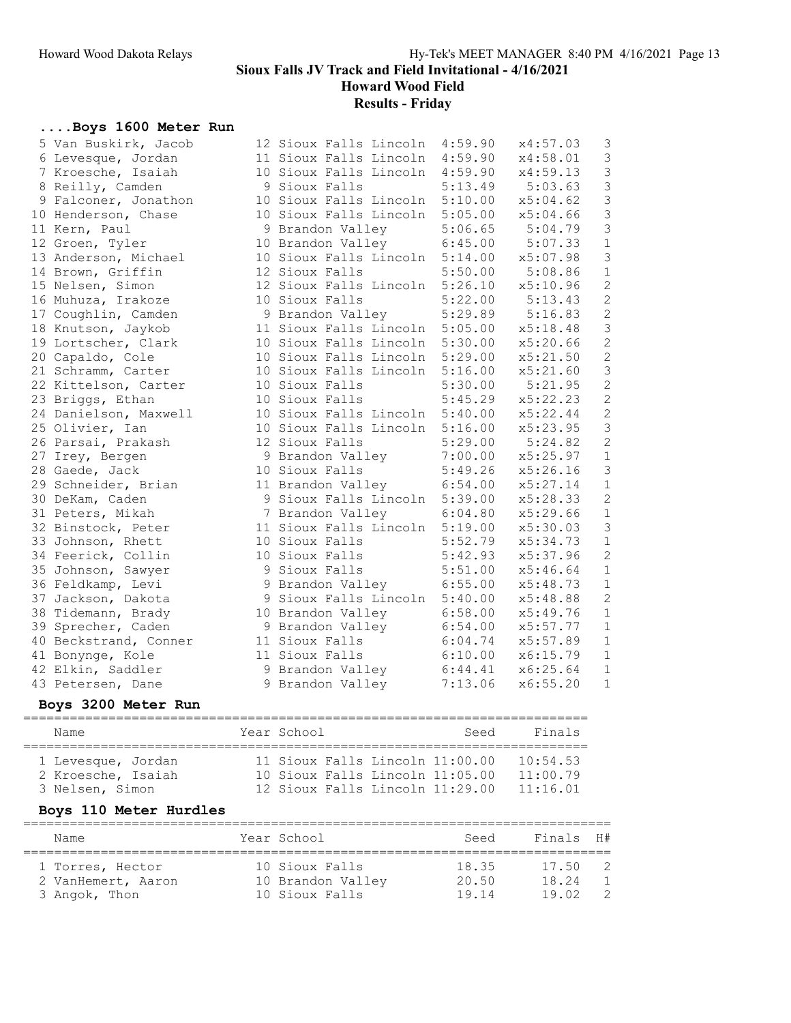Howard Wood Field

Results - Friday

#### ....Boys 1600 Meter Run

| 5 Van Buskirk, Jacob  | 12 Sioux Falls Lincoln 4:59.90 |         | x4:57.03 | 3              |
|-----------------------|--------------------------------|---------|----------|----------------|
| 6 Levesque, Jordan    | 11 Sioux Falls Lincoln         | 4:59.90 | x4:58.01 | $\mathfrak{Z}$ |
| 7 Kroesche, Isaiah    | 10 Sioux Falls Lincoln         | 4:59.90 | x4:59.13 | $\mathfrak{Z}$ |
| 8 Reilly, Camden      | 9 Sioux Falls                  | 5:13.49 | 5:03.63  | $\mathcal{S}$  |
| 9 Falconer, Jonathon  | 10 Sioux Falls Lincoln 5:10.00 |         | x5:04.62 | $\mathsf 3$    |
| 10 Henderson, Chase   | 10 Sioux Falls Lincoln         | 5:05.00 | x5:04.66 | $\mathcal{S}$  |
| 11 Kern, Paul         | 9 Brandon Valley               | 5:06.65 | 5:04.79  | $\mathfrak{Z}$ |
| 12 Groen, Tyler       | 10 Brandon Valley 6:45.00      |         | 5:07.33  | $1\,$          |
| 13 Anderson, Michael  | 10 Sioux Falls Lincoln 5:14.00 |         | x5:07.98 | $\mathcal{S}$  |
| 14 Brown, Griffin     | 12 Sioux Falls                 | 5:50.00 | 5:08.86  | $\mathbbm{1}$  |
| 15 Nelsen, Simon      | 12 Sioux Falls Lincoln 5:26.10 |         | x5:10.96 | $\overline{c}$ |
| 16 Muhuza, Irakoze    | 10 Sioux Falls                 | 5:22.00 | 5:13.43  | $\overline{c}$ |
| 17 Coughlin, Camden   | 9 Brandon Valley               | 5:29.89 | 5:16.83  | $\overline{c}$ |
| 18 Knutson, Jaykob    | 11 Sioux Falls Lincoln         | 5:05.00 | x5:18.48 | 3              |
| 19 Lortscher, Clark   | 10 Sioux Falls Lincoln         | 5:30.00 | x5:20.66 | $\overline{c}$ |
| 20 Capaldo, Cole      | 10 Sioux Falls Lincoln         | 5:29.00 | x5:21.50 | $\sqrt{2}$     |
| 21 Schramm, Carter    | 10 Sioux Falls Lincoln         | 5:16.00 | x5:21.60 | 3              |
| 22 Kittelson, Carter  | 10 Sioux Falls                 | 5:30.00 | 5:21.95  | $\mathbf{2}$   |
| 23 Briggs, Ethan      | 10 Sioux Falls                 | 5:45.29 | x5:22.23 | $\overline{c}$ |
| 24 Danielson, Maxwell | 10 Sioux Falls Lincoln         | 5:40.00 | x5:22.44 | $\overline{c}$ |
| 25 Olivier, Ian       | 10 Sioux Falls Lincoln         | 5:16.00 | x5:23.95 | $\mathfrak{Z}$ |
| 26 Parsai, Prakash    | 12 Sioux Falls                 | 5:29.00 | 5:24.82  | $\overline{c}$ |
| 27 Irey, Bergen       | 9 Brandon Valley               | 7:00.00 | x5:25.97 | $1\,$          |
| 28 Gaede, Jack        | 10 Sioux Falls                 | 5:49.26 | x5:26.16 | $\mathfrak{Z}$ |
| 29 Schneider, Brian   | 11 Brandon Valley              | 6:54.00 | x5:27.14 | $\mathbf 1$    |
| 30 DeKam, Caden       | 9 Sioux Falls Lincoln 5:39.00  |         | x5:28.33 | $\sqrt{2}$     |
| 31 Peters, Mikah      | 7 Brandon Valley               | 6:04.80 | x5:29.66 | $\,1\,$        |
| 32 Binstock, Peter    | 11 Sioux Falls Lincoln 5:19.00 |         | x5:30.03 | $\mathfrak{Z}$ |
| 33 Johnson, Rhett     | 10 Sioux Falls                 | 5:52.79 | x5:34.73 | $\mathbf 1$    |
| 34 Feerick, Collin    | 10 Sioux Falls                 | 5:42.93 | x5:37.96 | $\overline{c}$ |
| 35 Johnson, Sawyer    | 9 Sioux Falls                  | 5:51.00 | x5:46.64 | $\mathbf 1$    |
| 36 Feldkamp, Levi     | 9 Brandon Valley               | 6:55.00 | x5:48.73 | $\mathbf 1$    |
| 37 Jackson, Dakota    | 9 Sioux Falls Lincoln          | 5:40.00 | x5:48.88 | $\overline{c}$ |
| 38 Tidemann, Brady    | 10 Brandon Valley              | 6:58.00 | x5:49.76 | $1\,$          |
| 39 Sprecher, Caden    | 9 Brandon Valley               | 6:54.00 | x5:57.77 | $1\,$          |
| 40 Beckstrand, Conner | 11 Sioux Falls                 | 6:04.74 | x5:57.89 | $\mathbbm{1}$  |
| 41 Bonynge, Kole      | 11 Sioux Falls                 | 6:10.00 | x6:15.79 | $\mathbf 1$    |
| 42 Elkin, Saddler     | 9 Brandon Valley               | 6:44.41 | x6:25.64 | $\mathbf 1$    |
| 43 Petersen, Dane     | 9 Brandon Valley               | 7:13.06 | x6:55.20 | $\mathbf{1}$   |

#### Boys 3200 Meter Run

========================================================================= Name  $Year School$  Seed Finals ========================================================================= 1 Levesque, Jordan 11 Sioux Falls Lincoln 11:00.00 10:54.53 2 Kroesche, Isaiah 10 Sioux Falls Lincoln 11:05.00 11:00.79 3 Nelsen, Simon 12 Sioux Falls Lincoln 11:29.00 11:16.01

### Boys 110 Meter Hurdles

| Name                                   | Year School                         | Seed           | Finals H#         |  |
|----------------------------------------|-------------------------------------|----------------|-------------------|--|
| 1 Torres, Hector<br>2 VanHemert, Aaron | 10 Sioux Falls<br>10 Brandon Valley | 18.35<br>20.50 | 17.50<br>18.24    |  |
| 3 Angok, Thon                          | 10 Sioux Falls                      | 19 14          | 19 N <sub>2</sub> |  |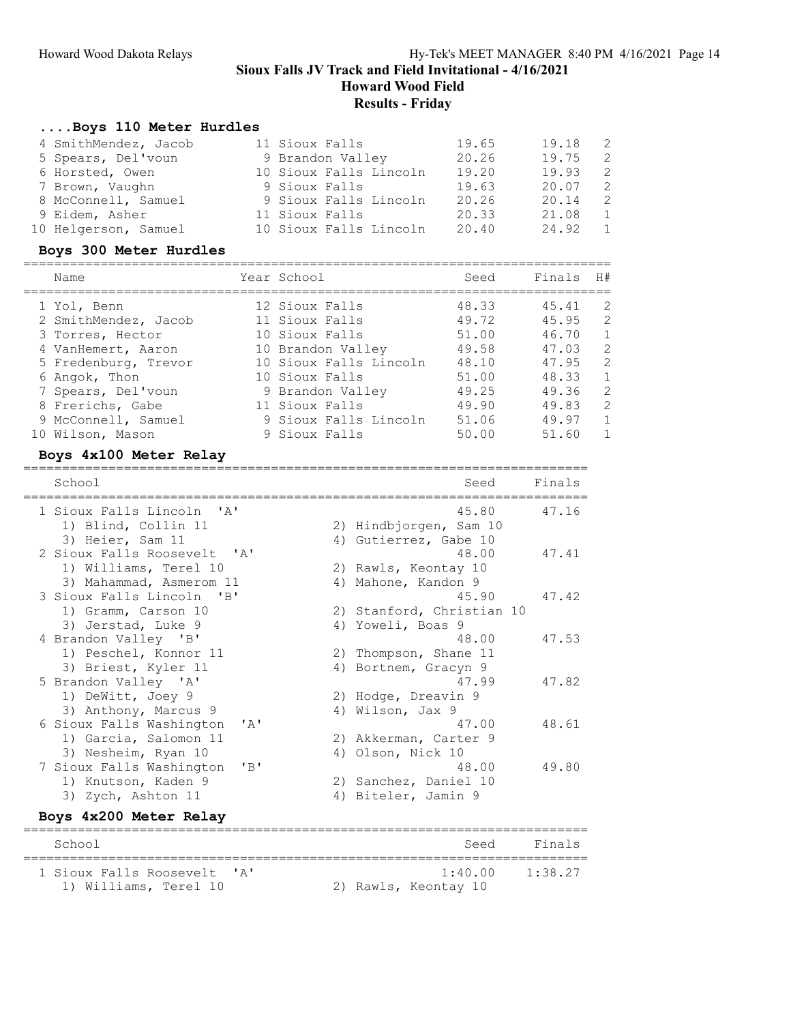Howard Wood Field

#### Results - Friday

#### ....Boys 110 Meter Hurdles

| 4 SmithMendez, Jacob | 11 Sioux Falls         | 19.65 | 19.18 | $\overline{2}$ |
|----------------------|------------------------|-------|-------|----------------|
| 5 Spears, Del'voun   | 9 Brandon Valley       | 20.26 | 19.75 | -2             |
| 6 Horsted, Owen      | 10 Sioux Falls Lincoln | 19.20 | 19.93 | - 2            |
| 7 Brown, Vaughn      | 9 Sioux Falls          | 19.63 | 20.07 | - 2            |
| 8 McConnell, Samuel  | 9 Sioux Falls Lincoln  | 20.26 | 20.14 | $\overline{2}$ |
| 9 Eidem, Asher       | 11 Sioux Falls         | 20.33 | 21.08 | 1              |
| 10 Helgerson, Samuel | 10 Sioux Falls Lincoln | 20.40 | 24.92 | $\overline{1}$ |

#### Boys 300 Meter Hurdles

| Name                 | Year School            | Seed  | Finals | H#             |
|----------------------|------------------------|-------|--------|----------------|
| 1 Yol, Benn          | 12 Sioux Falls         | 48.33 | 45.41  | 2              |
| 2 SmithMendez, Jacob | 11 Sioux Falls         | 49.72 | 45.95  | 2              |
| 3 Torres, Hector     | 10 Sioux Falls         | 51.00 | 46.70  | $\mathbf{1}$   |
| 4 VanHemert, Aaron   | 10 Brandon Valley      | 49.58 | 47.03  | 2              |
| 5 Fredenburg, Trevor | 10 Sioux Falls Lincoln | 48.10 | 47.95  | 2              |
| 6 Angok, Thon        | 10 Sioux Falls         | 51.00 | 48.33  | $\overline{1}$ |
| 7 Spears, Del'voun   | 9 Brandon Valley       | 49.25 | 49.36  | 2              |
| 8 Frerichs, Gabe     | 11 Sioux Falls         | 49.90 | 49.83  | 2              |
| 9 McConnell, Samuel  | 9 Sioux Falls Lincoln  | 51.06 | 49.97  | $\mathbf{1}$   |
| 10 Wilson, Mason     | 9 Sioux Falls          | 50.00 | 51.60  |                |

=========================================================================

#### Boys 4x100 Meter Relay

School School Seed Finals ========================================================================= 1 Sioux Falls Lincoln 'A' 45.80 47.16 1) Blind, Collin 11 2) Hindbjorgen, Sam 10 3) Heier, Sam 11 4) Gutierrez, Gabe 10 2 Sioux Falls Roosevelt 'A' 48.00 47.41 1) Williams, Terel 10 2) Rawls, Keontay 10 3) Mahammad, Asmerom 11 (4) Mahone, Kandon 9 3 Sioux Falls Lincoln 'B' 45.90 47.42 1) Gramm, Carson 10 2) Stanford, Christian 10 3) Jerstad, Luke 9 4) Yoweli, Boas 9 4 Brandon Valley 'B' 48.00 47.53 1) Peschel, Konnor 11 2) Thompson, Shane 11 3) Briest, Kyler 11 (4) Bortnem, Gracyn 9 5 Brandon Valley 'A' 47.99 47.82 1) DeWitt, Joey 9 2) Hodge, Dreavin 9 3) Anthony, Marcus 9 4) Wilson, Jax 9 6 Sioux Falls Washington 'A' 47.00 48.61<br>
1) Garcia, Salomon 11 2) Akkerman, Carter 9<br>
3) Nesheim, Ryan 10 4) Olson, Nick 10 1) Garcia, Salomon 11 2) Akkerman, Carter 9 3) Nesheim, Ryan 10 (4) Olson, Nick 10 7 Sioux Falls Washington 'B' 48.00 49.80 1) Knutson, Kaden 9 2) Sanchez, Daniel 10 3) Zych, Ashton 11 4) Biteler, Jamin 9

### Boys 4x200 Meter Relay

| School                                               | Seed                                        | Finals |
|------------------------------------------------------|---------------------------------------------|--------|
| 1 Sioux Falls Roosevelt 'A'<br>1) Williams, Terel 10 | $1.40$ 00 $1.38$ 27<br>2) Rawls, Keontay 10 |        |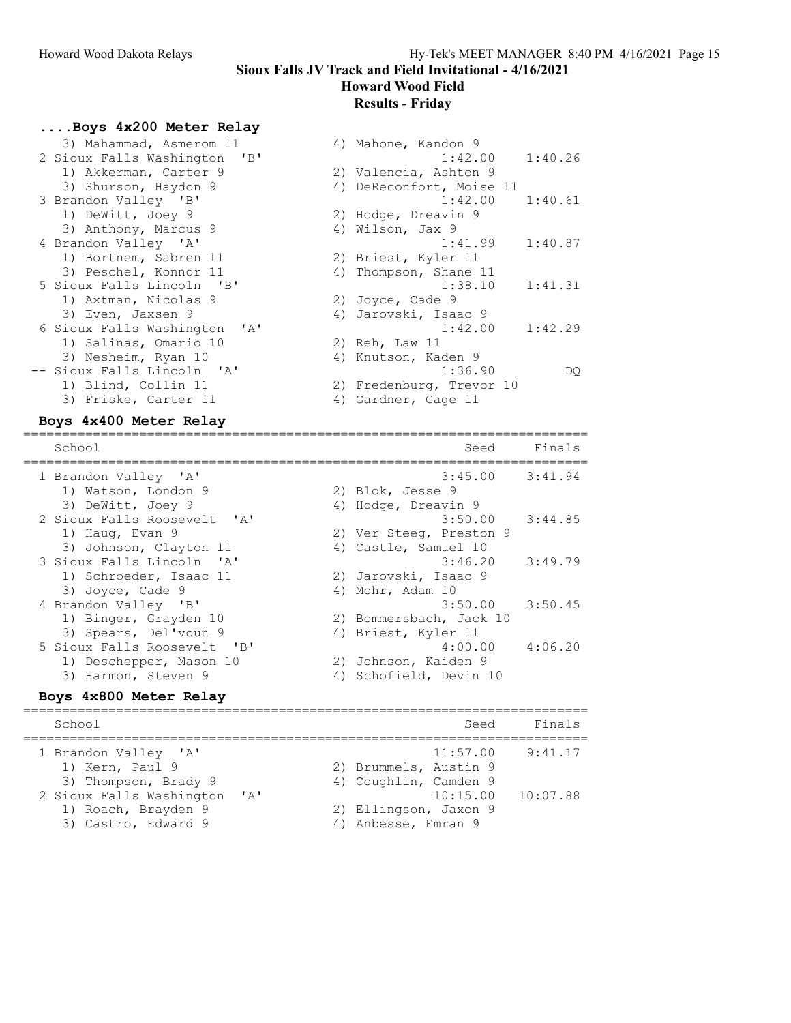Sioux Falls JV Track and Field Invitational - 4/16/2021 Howard Wood Field

# Results - Friday

#### ....Boys 4x200 Meter Relay

| 3) Mahammad, Asmerom 11      | 4) Mahone, Kandon 9      |         |
|------------------------------|--------------------------|---------|
| 2 Sioux Falls Washington 'B' | $1:42.00$ $1:40.26$      |         |
| 1) Akkerman, Carter 9        | 2) Valencia, Ashton 9    |         |
| 3) Shurson, Haydon 9         | 4) DeReconfort, Moise 11 |         |
| 3 Brandon Valley 'B'         | 1:42.00                  | 1:40.61 |
| 1) DeWitt, Joey 9            | 2) Hodge, Dreavin 9      |         |
| 3) Anthony, Marcus 9         | 4) Wilson, Jax 9         |         |
| 4 Brandon Valley 'A'         | 1:41.99                  | 1:40.87 |
| 1) Bortnem, Sabren 11        | 2) Briest, Kyler 11      |         |
| 3) Peschel, Konnor 11        | 4) Thompson, Shane 11    |         |
| 5 Sioux Falls Lincoln 'B'    | 1:38.10                  | 1:41.31 |
| 1) Axtman, Nicolas 9         | 2) Joyce, Cade 9         |         |
| 3) Even, Jaxsen 9            | 4) Jarovski, Isaac 9     |         |
| 6 Sioux Falls Washington 'A' | 1:42.00                  | 1:42.29 |
| 1) Salinas, Omario 10        | 2) Reh, Law 11           |         |
| 3) Nesheim, Ryan 10          | 4) Knutson, Kaden 9      |         |
| -- Sioux Falls Lincoln 'A'   | 1:36.90                  | DO.     |
| 1) Blind, Collin 11          | 2) Fredenburg, Trevor 10 |         |
| 3) Friske, Carter 11         | 4) Gardner, Gage 11      |         |

| Z SIOUX FAILS WASNINGTON 'B' | 1:42.UU                  | 1:40.ZO |
|------------------------------|--------------------------|---------|
| 1) Akkerman, Carter 9        | 2) Valencia, Ashton 9    |         |
| 3) Shurson, Haydon 9         | 4) DeReconfort, Moise 11 |         |
| 3 Brandon Valley 'B'         | $1:42.00$ $1:40.61$      |         |
| 1) DeWitt, Joey 9            | 2) Hodge, Dreavin 9      |         |
| 3) Anthony, Marcus 9         | 4) Wilson, Jax 9         |         |
| 4 Brandon Valley 'A'         | 1:41.99                  | 1:40.87 |
| 1) Bortnem, Sabren 11        | 2) Briest, Kyler 11      |         |
| 3) Peschel, Konnor 11        | 4) Thompson, Shane 11    |         |
| 5 Sioux Falls Lincoln 'B'    | 1:38.10                  | 1:41.31 |
| 1) Axtman, Nicolas 9         | 2) Joyce, Cade 9         |         |
| 3) Even, Jaxsen 9            | 4) Jarovski, Isaac 9     |         |
| 6 Sioux Falls Washington 'A' | 1:42.00                  | 1:42.29 |
| 1) Salinas, Omario 10        | 2) Reh, Law 11           |         |
| 3) Nesheim, Ryan 10          | 4) Knutson, Kaden 9      |         |
| -- Sioux Falls Lincoln 'A'   | 1:36.90                  | DO      |
| 1) Blind, Collin 11          | 2) Fredenburg, Trevor 10 |         |
| 3) Friske, Carter 11         | 4) Gardner, Gage 11      |         |

#### Boys 4x400 Meter Relay

| School                       | Seed                    | Finals  |
|------------------------------|-------------------------|---------|
| 1 Brandon Valley 'A'         | $3:45.00$ $3:41.94$     |         |
| 1) Watson, London 9          | 2) Blok, Jesse 9        |         |
| 3) DeWitt, Joey 9            | 4) Hodge, Dreavin 9     |         |
| 2 Sioux Falls Roosevelt, 'A' | $3:50.00$ $3:44.85$     |         |
| 1) Haug, Evan 9              | 2) Ver Steeq, Preston 9 |         |
| 3) Johnson, Clayton 11       | 4) Castle, Samuel 10    |         |
| 3 Sioux Falls Lincoln 'A'    | 3:46.20                 | 3:49.79 |
| 1) Schroeder, Isaac 11       | 2) Jarovski, Isaac 9    |         |
| 3) Joyce, Cade 9             | 4) Mohr, Adam 10        |         |
| 4 Brandon Valley 'B'         | 3:50.00                 | 3:50.45 |
| 1) Binger, Grayden 10        | 2) Bommersbach, Jack 10 |         |
| 3) Spears, Del'voun 9        | 4) Briest, Kyler 11     |         |
| 5 Sioux Falls Roosevelt 'B'  | 4:00.00                 | 4:06.20 |
| 1) Deschepper, Mason 10      | 2) Johnson, Kaiden 9    |         |
| 3) Harmon, Steven 9          | 4) Schofield, Devin 10  |         |
| Boys 4x800 Meter Relay       |                         |         |

| School                                                                                                                                    |                                     |                                                                                                | Seed                 | Finals              |
|-------------------------------------------------------------------------------------------------------------------------------------------|-------------------------------------|------------------------------------------------------------------------------------------------|----------------------|---------------------|
| 1 Brandon Valley 'A'<br>1) Kern, Paul 9<br>3) Thompson, Brady 9<br>2 Sioux Falls Washington<br>1) Roach, Brayden 9<br>3) Castro, Edward 9 | $\mathsf{r}_{\mathsf{A}}\mathsf{r}$ | 2) Brummels, Austin 9<br>4) Coughlin, Camden 9<br>2) Ellingson, Jaxon 9<br>4) Anbesse, Emran 9 | 11:57.00<br>10:15.00 | 9:41.17<br>10:07.88 |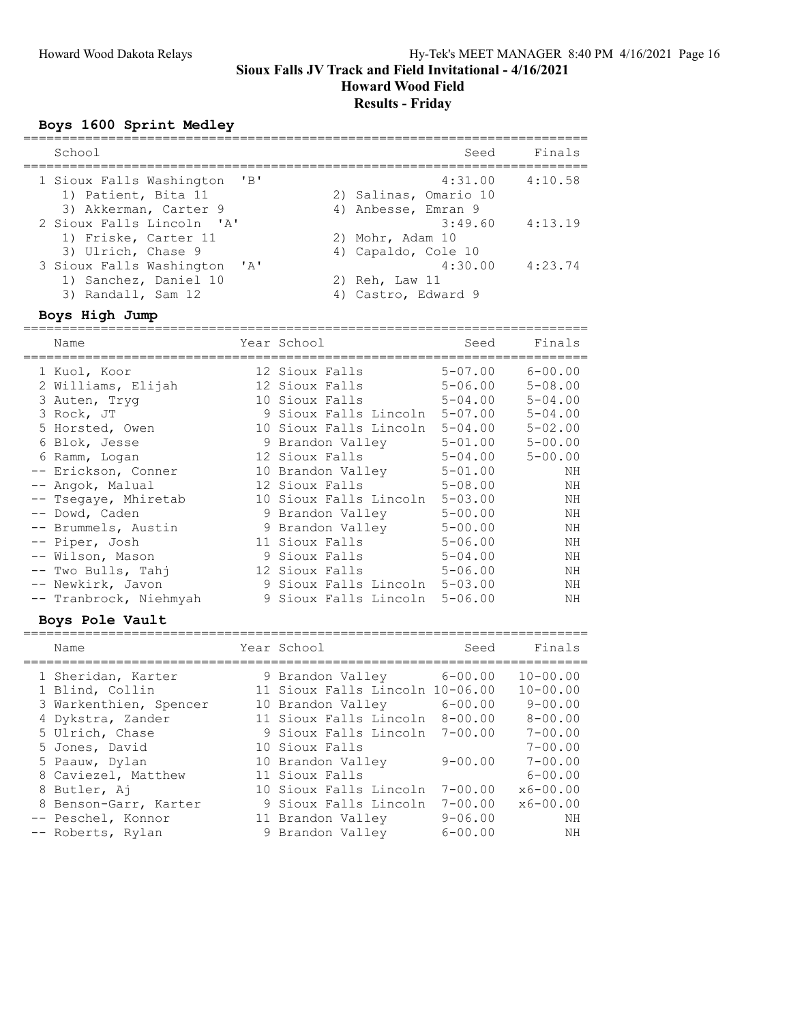### Howard Wood Field Results - Friday

# Boys 1600 Sprint Medley

| School                                                                                               | Seed                                                    | Finals  |
|------------------------------------------------------------------------------------------------------|---------------------------------------------------------|---------|
| $\overline{\phantom{a}}$<br>1 Sioux Falls Washington<br>1) Patient, Bita 11<br>3) Akkerman, Carter 9 | 4:31.00<br>2) Salinas, Omario 10<br>4) Anbesse, Emran 9 | 4:10.58 |
| 2 Sioux Falls Lincoln 'A'<br>1) Friske, Carter 11<br>3) Ulrich, Chase 9                              | 3:49.60<br>2) Mohr, Adam 10<br>4) Capaldo, Cole 10      | 4:13.19 |
| 3 Sioux Falls Washington 'A'<br>1) Sanchez, Daniel 10<br>3) Randall, Sam 12                          | 4:30.00<br>2) Reh, Law 11<br>4) Castro, Edward 9        | 4:23.74 |
| Boys High Jump                                                                                       |                                                         |         |

| Name                   | Year School                   | Seed        | Finals      |
|------------------------|-------------------------------|-------------|-------------|
| 1 Kuol, Koor           | 12 Sioux Falls                | $5 - 07.00$ | $6 - 00.00$ |
| 2 Williams, Elijah     | 12 Sioux Falls                | $5 - 06.00$ | $5 - 08.00$ |
| 3 Auten, Tryg          | 10 Sioux Falls                | $5 - 04.00$ | $5 - 04.00$ |
| 3 Rock, JT             | 9 Sioux Falls Lincoln         | $5 - 07.00$ | $5 - 04.00$ |
| 5 Horsted, Owen        | 10 Sioux Falls Lincoln        | $5 - 04.00$ | $5 - 02.00$ |
| 6 Blok, Jesse          | 9 Brandon Valley              | $5 - 01.00$ | $5 - 00.00$ |
| 6 Ramm, Logan          | 12 Sioux Falls                | $5 - 04.00$ | $5 - 00.00$ |
| -- Erickson, Conner    | 10 Brandon Valley             | $5 - 01.00$ | NΗ          |
| -- Angok, Malual       | 12 Sioux Falls                | $5 - 08.00$ | ΝH          |
| -- Tsegaye, Mhiretab   | 10 Sioux Falls Lincoln        | $5 - 03.00$ | NΗ          |
| -- Dowd, Caden         | 9 Brandon Valley              | $5 - 00.00$ | ΝH          |
| -- Brummels, Austin    | 9 Brandon Valley              | $5 - 00.00$ | ΝH          |
| -- Piper, Josh         | 11 Sioux Falls                | $5 - 06.00$ | ΝH          |
| -- Wilson, Mason       | 9 Sioux Falls                 | $5 - 04.00$ | NΗ          |
| -- Two Bulls, Tahi     | 12 Sioux Falls                | $5 - 06.00$ | ΝH          |
| -- Newkirk, Javon      | 9 Sioux Falls Lincoln 5-03.00 |             | NH          |
| -- Tranbrock, Niehmyah | 9 Sioux Falls Lincoln         | $5 - 06.00$ | ΝH          |

#### Boys Pole Vault

| Name                   | Year School                     | Seed        | Finals       |
|------------------------|---------------------------------|-------------|--------------|
| 1 Sheridan, Karter     | 9 Brandon Valley                | $6 - 00.00$ | $10 - 00.00$ |
| 1 Blind, Collin        | 11 Sioux Falls Lincoln 10-06.00 |             | $10 - 00.00$ |
| 3 Warkenthien, Spencer | 10 Brandon Valley               | $6 - 00.00$ | $9 - 00.00$  |
| 4 Dykstra, Zander      | 11 Sioux Falls Lincoln          | $8 - 00.00$ | $8 - 00.00$  |
| 5 Ulrich, Chase        | 9 Sioux Falls Lincoln           | $7 - 00.00$ | $7 - 00.00$  |
| 5 Jones, David         | 10 Sioux Falls                  |             | $7 - 00.00$  |
| 5 Paauw, Dylan         | 10 Brandon Valley               | $9 - 00.00$ | $7 - 00.00$  |
| 8 Caviezel, Matthew    | 11 Sioux Falls                  |             | $6 - 00.00$  |
| 8 Butler, Aj           | 10 Sioux Falls Lincoln          | $7 - 00.00$ | $x6 - 00.00$ |
| 8 Benson-Garr, Karter  | 9 Sioux Falls Lincoln           | $7 - 00.00$ | $x6 - 00.00$ |
| -- Peschel, Konnor     | 11 Brandon Valley               | $9 - 06.00$ | NΗ           |
| -- Roberts, Rylan      | 9 Brandon Valley                | $6 - 00.00$ | NH           |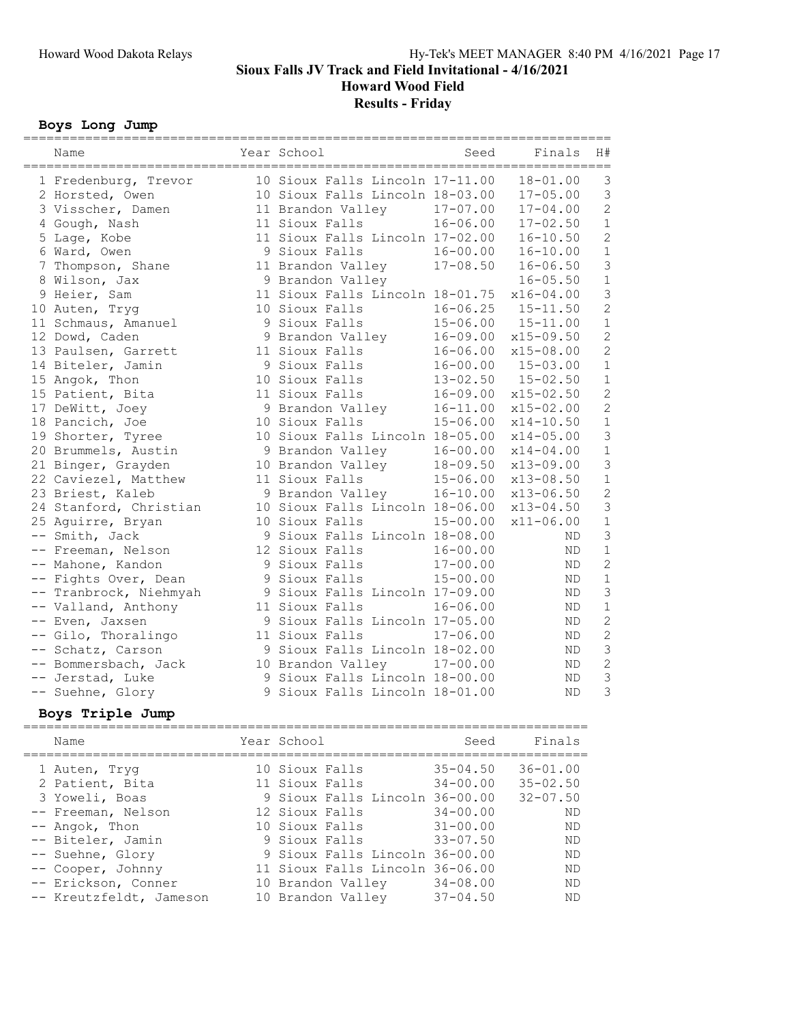Howard Wood Field

Results - Friday

#### Boys Long Jump

| Name                   | Year School                     | Seed         | Finals        | H#             |
|------------------------|---------------------------------|--------------|---------------|----------------|
| 1 Fredenburg, Trevor   | 10 Sioux Falls Lincoln 17-11.00 |              | $18 - 01.00$  | 3              |
| 2 Horsted, Owen        | 10 Sioux Falls Lincoln 18-03.00 |              | $17 - 05.00$  | 3              |
| 3 Visscher, Damen      | 11 Brandon Valley               | $17 - 07.00$ | $17 - 04.00$  | $\overline{2}$ |
| 4 Gough, Nash          | 11 Sioux Falls                  | $16 - 06.00$ | $17 - 02.50$  | $\mathbf 1$    |
| 5 Lage, Kobe           | 11 Sioux Falls Lincoln 17-02.00 |              | $16 - 10.50$  | $\overline{c}$ |
| 6 Ward, Owen           | 9 Sioux Falls                   | $16 - 00.00$ | $16 - 10.00$  | $\mathbf 1$    |
| 7 Thompson, Shane      | 11 Brandon Valley               | $17 - 08.50$ | $16 - 06.50$  | 3              |
| 8 Wilson, Jax          | 9 Brandon Valley                |              | $16 - 05.50$  | $\mathbf 1$    |
| 9 Heier, Sam           | 11 Sioux Falls Lincoln 18-01.75 |              | $x16 - 04.00$ | 3              |
| 10 Auten, Tryg         | 10 Sioux Falls                  | $16 - 06.25$ | $15 - 11.50$  | $\overline{c}$ |
| 11 Schmaus, Amanuel    | 9 Sioux Falls                   | $15 - 06.00$ | $15 - 11.00$  | $1\,$          |
| 12 Dowd, Caden         | 9 Brandon Valley                | $16 - 09.00$ | $x15 - 09.50$ | $\overline{c}$ |
| 13 Paulsen, Garrett    | 11 Sioux Falls                  | $16 - 06.00$ | $x15 - 08.00$ | $\overline{c}$ |
| 14 Biteler, Jamin      | 9 Sioux Falls                   | $16 - 00.00$ | $15 - 03.00$  | $1\,$          |
| 15 Angok, Thon         | 10 Sioux Falls                  | $13 - 02.50$ | $15 - 02.50$  | $\mathbf{1}$   |
| 15 Patient, Bita       | 11 Sioux Falls                  | $16 - 09.00$ | $x15 - 02.50$ | $\overline{c}$ |
| 17 DeWitt, Joey        | 9 Brandon Valley                | $16 - 11.00$ | $x15 - 02.00$ | $\overline{c}$ |
| 18 Pancich, Joe        | 10 Sioux Falls                  | $15 - 06.00$ | $x14 - 10.50$ | $\mathbf 1$    |
| 19 Shorter, Tyree      | 10 Sioux Falls Lincoln 18-05.00 |              | $x14 - 05.00$ | 3              |
| 20 Brummels, Austin    | 9 Brandon Valley                | $16 - 00.00$ | $x14 - 04.00$ | $\mathbf 1$    |
| 21 Binger, Grayden     | 10 Brandon Valley               | $18 - 09.50$ | $x13 - 09.00$ | 3              |
| 22 Caviezel, Matthew   | 11 Sioux Falls                  | $15 - 06.00$ | $x13 - 08.50$ | $1\,$          |
| 23 Briest, Kaleb       | 9 Brandon Valley                | $16 - 10.00$ | $x13 - 06.50$ | $\overline{c}$ |
| 24 Stanford, Christian | 10 Sioux Falls Lincoln 18-06.00 |              | $x13 - 04.50$ | 3              |
| 25 Aquirre, Bryan      | 10 Sioux Falls                  | $15 - 00.00$ | $x11 - 06.00$ | $\mathbf{1}$   |
| -- Smith, Jack         | 9 Sioux Falls Lincoln 18-08.00  |              | ND            | $\overline{3}$ |
| -- Freeman, Nelson     | 12 Sioux Falls                  | $16 - 00.00$ | ND.           | $1\,$          |
| -- Mahone, Kandon      | 9 Sioux Falls                   | $17 - 00.00$ | <b>ND</b>     | $\overline{c}$ |
| -- Fights Over, Dean   | 9 Sioux Falls                   | $15 - 00.00$ | ND            | $1\,$          |
| -- Tranbrock, Niehmyah | 9 Sioux Falls Lincoln 17-09.00  |              | ND            | 3              |
| -- Valland, Anthony    | 11 Sioux Falls                  | $16 - 06.00$ | ΝD            | $1\,$          |
| -- Even, Jaxsen        | 9 Sioux Falls Lincoln 17-05.00  |              | <b>ND</b>     | $\overline{c}$ |
| -- Gilo, Thoralingo    | 11 Sioux Falls                  | $17 - 06.00$ | ND            | $\overline{c}$ |
| -- Schatz, Carson      | 9 Sioux Falls Lincoln 18-02.00  |              | ND.           | $\overline{3}$ |
| -- Bommersbach, Jack   | 10 Brandon Valley               | $17 - 00.00$ | ND            | $\overline{c}$ |
| -- Jerstad, Luke       | 9 Sioux Falls Lincoln 18-00.00  |              | ΝD            | 3              |
| -- Suehne, Glory       | 9 Sioux Falls Lincoln 18-01.00  |              | ND            | 3              |
|                        |                                 |              |               |                |

#### Boys Triple Jump

========================================================================= Name The Year School Control Seed Finals ========================================================================= 1 Auten, Tryg 10 Sioux Falls 35-04.50 36-01.00 2 Patient, Bita 11 Sioux Falls 34-00.00 35-02.50 3 Yoweli, Boas 9 Sioux Falls Lincoln 36-00.00 32-07.50 -- Freeman, Nelson 12 Sioux Falls 34-00.00 ND -- Angok, Thon 10 Sioux Falls 31-00.00 ND -- Biteler, Jamin 9 Sioux Falls 33-07.50 ND -- Suehne, Glory 9 Sioux Falls Lincoln 36-00.00 ND -- Cooper, Johnny 11 Sioux Falls Lincoln 36-06.00 ND -- Erickson, Conner 10 Brandon Valley 34-08.00 ND -- Kreutzfeldt, Jameson 10 Brandon Valley 37-04.50 ND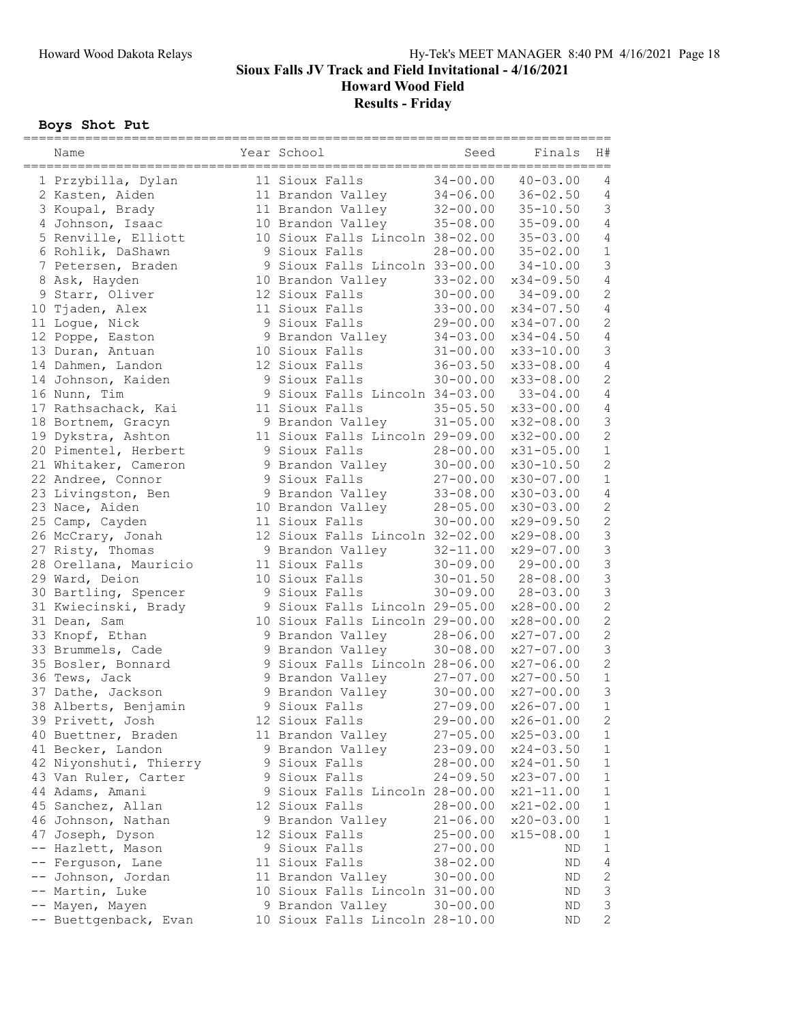Howard Wood Field

Results - Friday

# Boys Shot Put

| Name                   | Year School                     | Seed         | Finals<br>================= | H#             |
|------------------------|---------------------------------|--------------|-----------------------------|----------------|
| 1 Przybilla, Dylan     | 11 Sioux Falls                  | $34 - 00.00$ | $40 - 03.00$                | 4              |
| 2 Kasten, Aiden        | 11 Brandon Valley               | $34 - 06.00$ | $36 - 02.50$                | $\sqrt{4}$     |
| 3 Koupal, Brady        | 11 Brandon Valley               | $32 - 00.00$ | $35 - 10.50$                | $\mathfrak{Z}$ |
| 4 Johnson, Isaac       | 10 Brandon Valley               | $35 - 08.00$ | $35 - 09.00$                | $\sqrt{4}$     |
| 5 Renville, Elliott    | 10 Sioux Falls Lincoln 38-02.00 |              | $35 - 03.00$                | $\sqrt{4}$     |
| 6 Rohlik, DaShawn      | 9 Sioux Falls                   | $28 - 00.00$ | $35 - 02.00$                | $\mathbf 1$    |
| 7 Petersen, Braden     | 9 Sioux Falls Lincoln 33-00.00  |              | $34 - 10.00$                | $\mathsf 3$    |
| 8 Ask, Hayden          | 10 Brandon Valley               | $33 - 02.00$ | $x34 - 09.50$               | $\sqrt{4}$     |
| 9 Starr, Oliver        | 12 Sioux Falls                  | $30 - 00.00$ | $34 - 09.00$                | $\sqrt{2}$     |
| 10 Tjaden, Alex        | 11 Sioux Falls                  | $33 - 00.00$ | $x34 - 07.50$               | $\sqrt{4}$     |
| 11 Logue, Nick         | 9 Sioux Falls                   | $29 - 00.00$ | x34-07.00                   | $\mathbf{2}$   |
| 12 Poppe, Easton       | 9 Brandon Valley                | $34 - 03.00$ | $x34 - 04.50$               | $\sqrt{4}$     |
| 13 Duran, Antuan       | 10 Sioux Falls                  | $31 - 00.00$ | x33-10.00                   | $\mathsf 3$    |
| 14 Dahmen, Landon      | 12 Sioux Falls                  | $36 - 03.50$ | x33-08.00                   | $\sqrt{4}$     |
| 14 Johnson, Kaiden     | 9 Sioux Falls                   | $30 - 00.00$ | x33-08.00                   | $\mathbf{2}$   |
| 16 Nunn, Tim           | 9 Sioux Falls Lincoln 34-03.00  |              | $33 - 04.00$                | $\sqrt{4}$     |
| 17 Rathsachack, Kai    | 11 Sioux Falls                  | $35 - 05.50$ | x33-00.00                   | $\sqrt{4}$     |
| 18 Bortnem, Gracyn     | 9 Brandon Valley                | $31 - 05.00$ | $x32 - 08.00$               | $\mathsf 3$    |
| 19 Dykstra, Ashton     | 11 Sioux Falls Lincoln 29-09.00 |              | x32-00.00                   | $\overline{c}$ |
| 20 Pimentel, Herbert   | 9 Sioux Falls                   | $28 - 00.00$ | $x31 - 05.00$               | $\mathbf 1$    |
| 21 Whitaker, Cameron   | 9 Brandon Valley                | $30 - 00.00$ | x30-10.50                   | $\mathbf{2}$   |
| 22 Andree, Connor      | 9 Sioux Falls                   | $27 - 00.00$ | $x30 - 07.00$               | $1\,$          |
| 23 Livingston, Ben     | 9 Brandon Valley                | $33 - 08.00$ | x30-03.00                   | $\sqrt{4}$     |
| 23 Nace, Aiden         | 10 Brandon Valley               | $28 - 05.00$ | $x30 - 03.00$               | $\sqrt{2}$     |
| 25 Camp, Cayden        | 11 Sioux Falls                  | $30 - 00.00$ | $x29 - 09.50$               | $\overline{c}$ |
| 26 McCrary, Jonah      | 12 Sioux Falls Lincoln 32-02.00 |              | $x29 - 08.00$               | $\mathfrak{Z}$ |
| 27 Risty, Thomas       | 9 Brandon Valley                | $32 - 11.00$ | $x29 - 07.00$               | $\mathfrak{Z}$ |
| 28 Orellana, Mauricio  | 11 Sioux Falls                  | $30 - 09.00$ | $29 - 00.00$                | $\mathfrak{Z}$ |
| 29 Ward, Deion         | 10 Sioux Falls                  | $30 - 01.50$ | $28 - 08.00$                | $\mathfrak{Z}$ |
| 30 Bartling, Spencer   | 9 Sioux Falls                   | $30 - 09.00$ | $28 - 03.00$                | $\mathfrak{Z}$ |
| 31 Kwiecinski, Brady   | 9 Sioux Falls Lincoln 29-05.00  |              | $x28 - 00.00$               | $\overline{c}$ |
| 31 Dean, Sam           | 10 Sioux Falls Lincoln 29-00.00 |              | $x28 - 00.00$               | $\overline{c}$ |
| 33 Knopf, Ethan        | 9 Brandon Valley                | $28 - 06.00$ | $x27 - 07.00$               | $\mathbf 2$    |
| 33 Brummels, Cade      | 9 Brandon Valley                | $30 - 08.00$ | $x27 - 07.00$               | $\mathfrak{Z}$ |
| 35 Bosler, Bonnard     | 9 Sioux Falls Lincoln 28-06.00  |              | $x27 - 06.00$               | $\overline{c}$ |
| 36 Tews, Jack          | 9 Brandon Valley                | $27 - 07.00$ | $x27 - 00.50$               | $\mathbf 1$    |
| 37 Dathe, Jackson      | 9 Brandon Valley                | $30 - 00.00$ | $x27 - 00.00$               | $\mathsf 3$    |
| 38 Alberts, Benjamin   | 9 Sioux Falls                   | $27 - 09.00$ | $x26 - 07.00$               | $\mathbf{1}$   |
| 39 Privett, Josh       | 12 Sioux Falls                  | $29 - 00.00$ | $x26 - 01.00$               | 2              |
| 40 Buettner, Braden    | 11 Brandon Valley               | $27 - 05.00$ | $x25 - 03.00$               | $\mathbf 1$    |
| 41 Becker, Landon      | 9 Brandon Valley                | $23 - 09.00$ | $x24 - 03.50$               | $\mathbf 1$    |
| 42 Niyonshuti, Thierry | 9 Sioux Falls                   | $28 - 00.00$ | $x24 - 01.50$               | $\mathbf 1$    |
| 43 Van Ruler, Carter   | 9 Sioux Falls                   | $24 - 09.50$ | x23-07.00                   | $\mathbf 1$    |
| 44 Adams, Amani        | 9 Sioux Falls Lincoln 28-00.00  |              | $x21 - 11.00$               | $\mathbf 1$    |
| 45 Sanchez, Allan      | 12 Sioux Falls                  | $28 - 00.00$ | $x21 - 02.00$               | $\mathbf 1$    |
| 46 Johnson, Nathan     | 9 Brandon Valley                | $21 - 06.00$ | $x20 - 03.00$               | 1              |
| 47 Joseph, Dyson       | 12 Sioux Falls                  | $25 - 00.00$ | $x15 - 08.00$               | 1              |
| -- Hazlett, Mason      | 9 Sioux Falls                   | $27 - 00.00$ | ΝD                          | 1              |
| Ferguson, Lane         | 11 Sioux Falls                  | $38 - 02.00$ | ΝD                          | $\overline{4}$ |
| Johnson, Jordan        | 11 Brandon Valley               | $30 - 00.00$ | ΝD                          | $\mathbf{2}$   |
| Martin, Luke           | 10 Sioux Falls Lincoln 31-00.00 |              | <b>ND</b>                   | $\mathfrak{Z}$ |
| Mayen, Mayen           | 9 Brandon Valley                | $30 - 00.00$ | ND                          | 3              |
| -- Buettgenback, Evan  | 10 Sioux Falls Lincoln 28-10.00 |              | ΝD                          | $\overline{c}$ |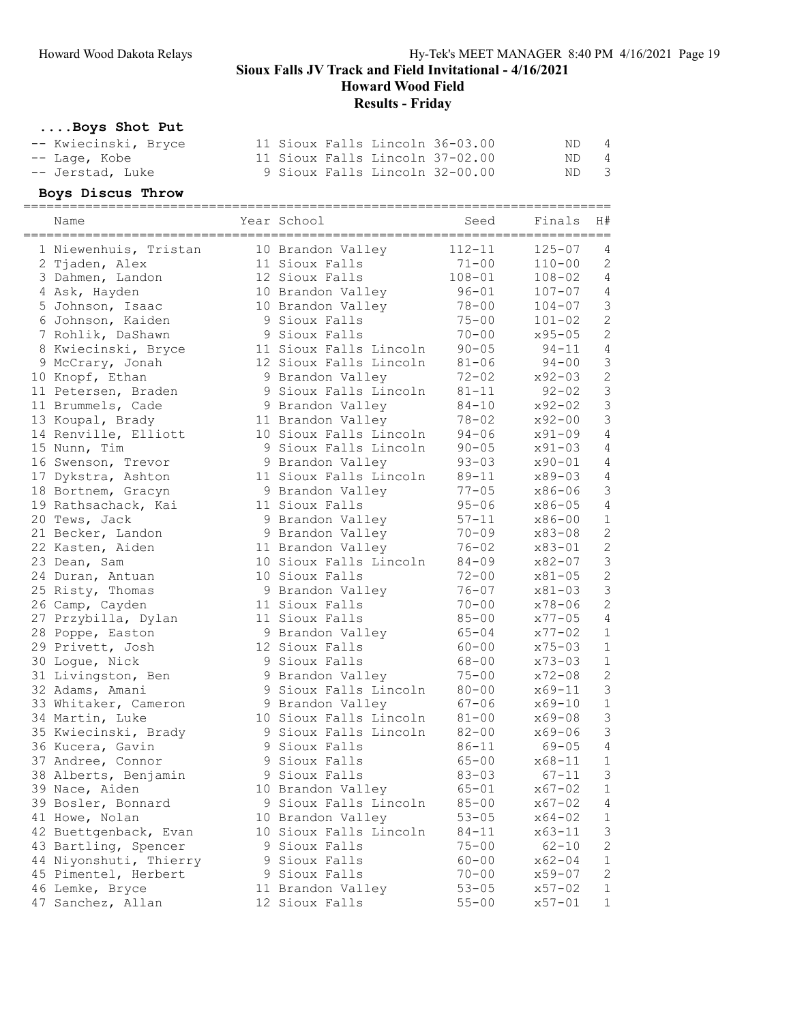Howard Wood Field

# Results - Friday

# ....Boys Shot Put

| -- Kwiecinski, Bryce |  |  | 11 Sioux Falls Lincoln 36-03.00 | ND - | 4 |
|----------------------|--|--|---------------------------------|------|---|
| -- Lage, Kobe        |  |  | 11 Sioux Falls Lincoln 37-02.00 | ND 4 |   |
| -- Jerstad, Luke     |  |  | 9 Sioux Falls Lincoln 32-00.00  | ND 3 |   |

### Boys Discus Throw

| Name                   | Year School            | Seed       | Finals     | H#<br>======   |
|------------------------|------------------------|------------|------------|----------------|
| 1 Niewenhuis, Tristan  | 10 Brandon Valley      | $112 - 11$ | $125 - 07$ | 4              |
| 2 Tjaden, Alex         | 11 Sioux Falls         | $71 - 00$  | $110 - 00$ | $\mathbf{2}$   |
| 3 Dahmen, Landon       | 12 Sioux Falls         | $108 - 01$ | $108 - 02$ | $\overline{4}$ |
| 4 Ask, Hayden          | 10 Brandon Valley      | $96 - 01$  | $107 - 07$ | $\sqrt{4}$     |
| 5 Johnson, Isaac       | 10 Brandon Valley      | $78 - 00$  | $104 - 07$ | $\mathsf 3$    |
| 6 Johnson, Kaiden      | 9 Sioux Falls          | $75 - 00$  | $101 - 02$ | $\sqrt{2}$     |
| 7 Rohlik, DaShawn      | 9 Sioux Falls          | $70 - 00$  | $x95 - 05$ | $\overline{c}$ |
| 8 Kwiecinski, Bryce    | 11 Sioux Falls Lincoln | $90 - 05$  | $94 - 11$  | $\overline{4}$ |
| 9 McCrary, Jonah       | 12 Sioux Falls Lincoln | $81 - 06$  | $94 - 00$  | 3              |
| 10 Knopf, Ethan        | 9 Brandon Valley       | $72 - 02$  | $x92 - 03$ | $\overline{c}$ |
| 11 Petersen, Braden    | 9 Sioux Falls Lincoln  | $81 - 11$  | $92 - 02$  | 3              |
| 11 Brummels, Cade      | 9 Brandon Valley       | $84 - 10$  | x92-02     | $\mathfrak{Z}$ |
| 13 Koupal, Brady       | 11 Brandon Valley      | $78 - 02$  | $x92 - 00$ | 3              |
| 14 Renville, Elliott   | 10 Sioux Falls Lincoln | $94 - 06$  | $x91 - 09$ | $\sqrt{4}$     |
| 15 Nunn, Tim           | 9 Sioux Falls Lincoln  | $90 - 05$  | $x91 - 03$ | 4              |
| 16 Swenson, Trevor     | 9 Brandon Valley       | $93 - 03$  | $x90 - 01$ | $\sqrt{4}$     |
| 17 Dykstra, Ashton     | 11 Sioux Falls Lincoln | $89 - 11$  | x89-03     | $\sqrt{4}$     |
| 18 Bortnem, Gracyn     | 9 Brandon Valley       | $77 - 05$  | x86-06     | $\mathsf 3$    |
| 19 Rathsachack, Kai    | 11 Sioux Falls         | $95 - 06$  | $x86 - 05$ | $\sqrt{4}$     |
| 20 Tews, Jack          | 9 Brandon Valley       | $57 - 11$  | $x86 - 00$ | $1\,$          |
| 21 Becker, Landon      | 9 Brandon Valley       | $70 - 09$  | x83-08     | $\overline{c}$ |
| 22 Kasten, Aiden       | 11 Brandon Valley      | $76 - 02$  | $x83 - 01$ | $\overline{c}$ |
| 23 Dean, Sam           | 10 Sioux Falls Lincoln | $84 - 09$  | $x82 - 07$ | $\mathfrak{Z}$ |
| 24 Duran, Antuan       | 10 Sioux Falls         | $72 - 00$  | x81-05     | $\overline{c}$ |
| 25 Risty, Thomas       | 9 Brandon Valley       | $76 - 07$  | x81-03     | 3              |
| 26 Camp, Cayden        | 11 Sioux Falls         | $70 - 00$  | $x78 - 06$ | $\overline{c}$ |
| 27 Przybilla, Dylan    | 11 Sioux Falls         | $85 - 00$  | $x77 - 05$ | $\sqrt{4}$     |
| 28 Poppe, Easton       | 9 Brandon Valley       | $65 - 04$  | $x77 - 02$ | $1\,$          |
| 29 Privett, Josh       | 12 Sioux Falls         | $60 - 00$  | $x75 - 03$ | $1\,$          |
| 30 Logue, Nick         | 9 Sioux Falls          | $68 - 00$  | $x73 - 03$ | $1\,$          |
| 31 Livingston, Ben     | 9 Brandon Valley       | $75 - 00$  | $x72 - 08$ | $\overline{c}$ |
| 32 Adams, Amani        | 9 Sioux Falls Lincoln  | $80 - 00$  | $x69 - 11$ | $\mathfrak{Z}$ |
| 33 Whitaker, Cameron   | 9 Brandon Valley       | $67 - 06$  | $x69 - 10$ | $\mathbf 1$    |
| 34 Martin, Luke        | 10 Sioux Falls Lincoln | $81 - 00$  | x69-08     | 3              |
| 35 Kwiecinski, Brady   | 9 Sioux Falls Lincoln  | $82 - 00$  | $x69 - 06$ | 3              |
| 36 Kucera, Gavin       | 9 Sioux Falls          | $86 - 11$  | $69 - 05$  | 4              |
| 37 Andree, Connor      | 9 Sioux Falls          | $65 - 00$  | $x68 - 11$ | $\mathbf 1$    |
| 38 Alberts, Benjamin   | 9 Sioux Falls          | $83 - 03$  | $67 - 11$  | 3              |
| 39 Nace, Aiden         | 10 Brandon Valley      | $65 - 01$  | $x67 - 02$ | 1              |
| 39 Bosler, Bonnard     | 9 Sioux Falls Lincoln  | $85 - 00$  | $x67 - 02$ | 4              |
| 41 Howe, Nolan         | 10 Brandon Valley      | $53 - 05$  | $x64 - 02$ | $\mathbf 1$    |
| 42 Buettgenback, Evan  | 10 Sioux Falls Lincoln | $84 - 11$  | $x63 - 11$ | 3              |
| 43 Bartling, Spencer   | 9 Sioux Falls          | $75 - 00$  | $62 - 10$  | $\overline{c}$ |
| 44 Niyonshuti, Thierry | 9 Sioux Falls          | $60 - 00$  | $x62 - 04$ | 1              |
| 45 Pimentel, Herbert   | 9 Sioux Falls          | $70 - 00$  | x59-07     | $\sqrt{2}$     |
| 46 Lemke, Bryce        | 11 Brandon Valley      | $53 - 05$  | $x57 - 02$ | $\mathbf 1$    |
| 47 Sanchez, Allan      | 12 Sioux Falls         | $55 - 00$  | $x57 - 01$ | $\mathbf 1$    |